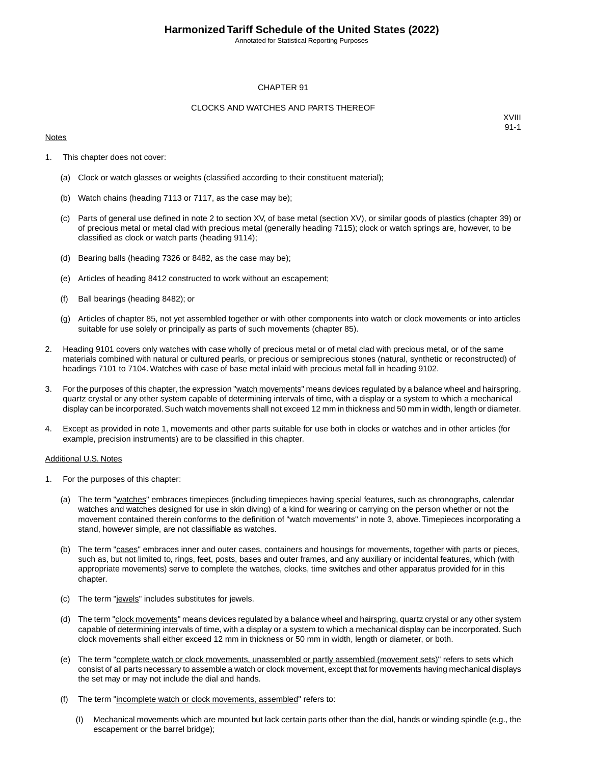Annotated for Statistical Reporting Purposes

### CHAPTER 91

### CLOCKS AND WATCHES AND PARTS THEREOF

### **Notes**

XVIII 91-1

- 1. This chapter does not cover:
	- (a) Clock or watch glasses or weights (classified according to their constituent material);
	- (b) Watch chains (heading 7113 or 7117, as the case may be);
	- (c) Parts of general use defined in note 2 to section XV, of base metal (section XV), or similar goods of plastics (chapter 39) or of precious metal or metal clad with precious metal (generally heading 7115); clock or watch springs are, however, to be classified as clock or watch parts (heading 9114);
	- (d) Bearing balls (heading 7326 or 8482, as the case may be);
	- (e) Articles of heading 8412 constructed to work without an escapement;
	- (f) Ball bearings (heading 8482); or
	- (g) Articles of chapter 85, not yet assembled together or with other components into watch or clock movements or into articles suitable for use solely or principally as parts of such movements (chapter 85).
- 2. Heading 9101 covers only watches with case wholly of precious metal or of metal clad with precious metal, or of the same materials combined with natural or cultured pearls, or precious or semiprecious stones (natural, synthetic or reconstructed) of headings 7101 to 7104. Watches with case of base metal inlaid with precious metal fall in heading 9102.
- 3. For the purposes of this chapter, the expression "watch movements" means devices regulated by a balance wheel and hairspring, quartz crystal or any other system capable of determining intervals of time, with a display or a system to which a mechanical display can be incorporated. Such watch movements shall not exceed 12 mm in thickness and 50 mm in width, length or diameter.
- 4. Except as provided in note 1, movements and other parts suitable for use both in clocks or watches and in other articles (for example, precision instruments) are to be classified in this chapter.

#### Additional U.S. Notes

- 1. For the purposes of this chapter:
	- (a) The term "watches" embraces timepieces (including timepieces having special features, such as chronographs, calendar watches and watches designed for use in skin diving) of a kind for wearing or carrying on the person whether or not the movement contained therein conforms to the definition of "watch movements" in note 3, above. Timepieces incorporating a stand, however simple, are not classifiable as watches.
	- (b) The term "cases" embraces inner and outer cases, containers and housings for movements, together with parts or pieces, such as, but not limited to, rings, feet, posts, bases and outer frames, and any auxiliary or incidental features, which (with appropriate movements) serve to complete the watches, clocks, time switches and other apparatus provided for in this chapter.
	- (c) The term "jewels" includes substitutes for jewels.
	- (d) The term "clock movements" means devices regulated by a balance wheel and hairspring, quartz crystal or any other system capable of determining intervals of time, with a display or a system to which a mechanical display can be incorporated. Such clock movements shall either exceed 12 mm in thickness or 50 mm in width, length or diameter, or both.
	- (e) The term "complete watch or clock movements, unassembled or partly assembled (movement sets)" refers to sets which consist of all parts necessary to assemble a watch or clock movement, except that for movements having mechanical displays the set may or may not include the dial and hands.
	- (f) The term "incomplete watch or clock movements, assembled" refers to:
		- (I) Mechanical movements which are mounted but lack certain parts other than the dial, hands or winding spindle (e.g., the escapement or the barrel bridge);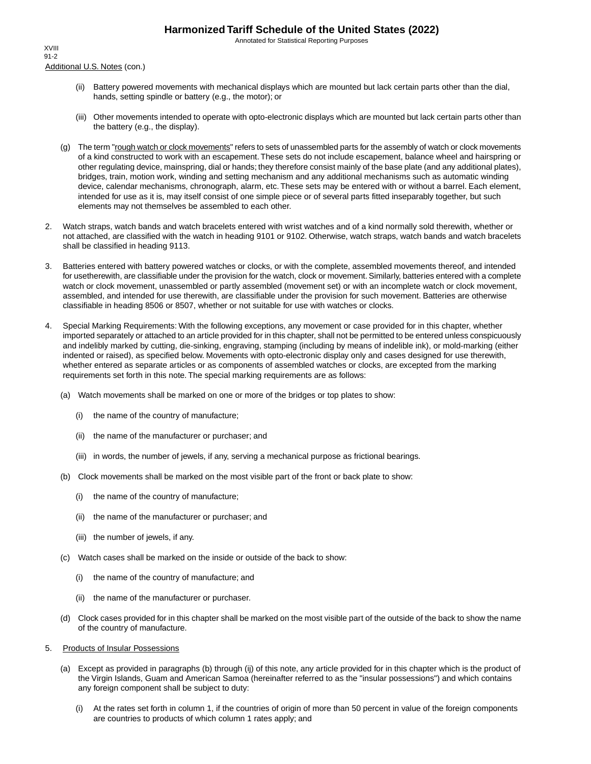Annotated for Statistical Reporting Purposes

Additional U.S. Notes (con.) XVIII 91-2

- (ii) Battery powered movements with mechanical displays which are mounted but lack certain parts other than the dial, hands, setting spindle or battery (e.g., the motor); or
- (iii) Other movements intended to operate with opto-electronic displays which are mounted but lack certain parts other than the battery (e.g., the display).
- (g) The term "rough watch or clock movements" refers to sets of unassembled parts for the assembly of watch or clock movements of a kind constructed to work with an escapement. These sets do not include escapement, balance wheel and hairspring or other regulating device, mainspring, dial or hands; they therefore consist mainly of the base plate (and any additional plates), bridges, train, motion work, winding and setting mechanism and any additional mechanisms such as automatic winding device, calendar mechanisms, chronograph, alarm, etc. These sets may be entered with or without a barrel. Each element, intended for use as it is, may itself consist of one simple piece or of several parts fitted inseparably together, but such elements may not themselves be assembled to each other.
- 2. Watch straps, watch bands and watch bracelets entered with wrist watches and of a kind normally sold therewith, whether or not attached, are classified with the watch in heading 9101 or 9102. Otherwise, watch straps, watch bands and watch bracelets shall be classified in heading 9113.
- 3. Batteries entered with battery powered watches or clocks, or with the complete, assembled movements thereof, and intended for usetherewith, are classifiable under the provision for the watch, clock or movement. Similarly, batteries entered with a complete watch or clock movement, unassembled or partly assembled (movement set) or with an incomplete watch or clock movement, assembled, and intended for use therewith, are classifiable under the provision for such movement. Batteries are otherwise classifiable in heading 8506 or 8507, whether or not suitable for use with watches or clocks.
- 4. Special Marking Requirements: With the following exceptions, any movement or case provided for in this chapter, whether imported separately or attached to an article provided for in this chapter, shall not be permitted to be entered unless conspicuously and indelibly marked by cutting, die-sinking, engraving, stamping (including by means of indelible ink), or mold-marking (either indented or raised), as specified below. Movements with opto-electronic display only and cases designed for use therewith, whether entered as separate articles or as components of assembled watches or clocks, are excepted from the marking requirements set forth in this note. The special marking requirements are as follows:
	- (a) Watch movements shall be marked on one or more of the bridges or top plates to show:
		- (i) the name of the country of manufacture;
		- (ii) the name of the manufacturer or purchaser; and
		- (iii) in words, the number of jewels, if any, serving a mechanical purpose as frictional bearings.
	- (b) Clock movements shall be marked on the most visible part of the front or back plate to show:
		- (i) the name of the country of manufacture;
		- (ii) the name of the manufacturer or purchaser; and
		- (iii) the number of jewels, if any.
	- (c) Watch cases shall be marked on the inside or outside of the back to show:
		- (i) the name of the country of manufacture; and
		- (ii) the name of the manufacturer or purchaser.
	- (d) Clock cases provided for in this chapter shall be marked on the most visible part of the outside of the back to show the name of the country of manufacture.
- 5. Products of Insular Possessions
	- (a) Except as provided in paragraphs (b) through (ij) of this note, any article provided for in this chapter which is the product of the Virgin Islands, Guam and American Samoa (hereinafter referred to as the "insular possessions") and which contains any foreign component shall be subject to duty:
		- (i) At the rates set forth in column 1, if the countries of origin of more than 50 percent in value of the foreign components are countries to products of which column 1 rates apply; and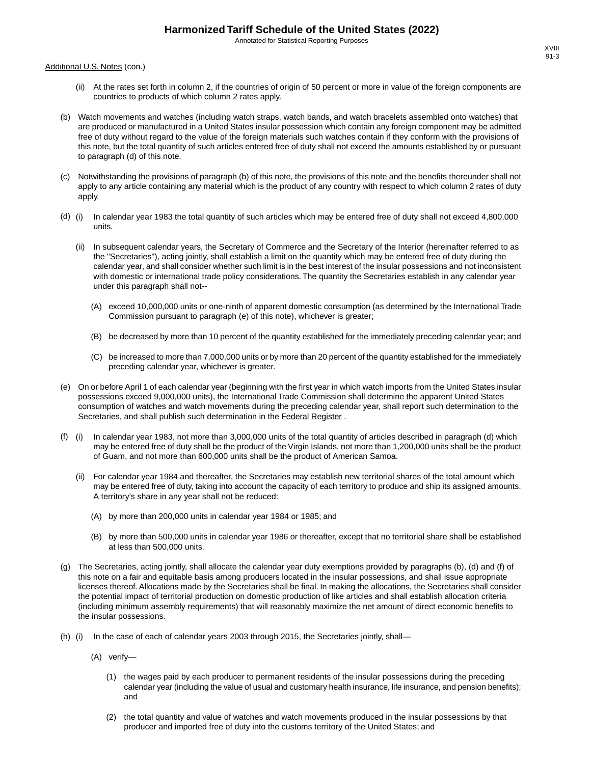Annotated for Statistical Reporting Purposes

Additional U.S. Notes (con.)

- (ii) At the rates set forth in column 2, if the countries of origin of 50 percent or more in value of the foreign components are countries to products of which column 2 rates apply.
- (b) Watch movements and watches (including watch straps, watch bands, and watch bracelets assembled onto watches) that are produced or manufactured in a United States insular possession which contain any foreign component may be admitted free of duty without regard to the value of the foreign materials such watches contain if they conform with the provisions of this note, but the total quantity of such articles entered free of duty shall not exceed the amounts established by or pursuant to paragraph (d) of this note.
- (c) Notwithstanding the provisions of paragraph (b) of this note, the provisions of this note and the benefits thereunder shall not apply to any article containing any material which is the product of any country with respect to which column 2 rates of duty apply.
- (d) (i) In calendar year 1983 the total quantity of such articles which may be entered free of duty shall not exceed 4,800,000 units.
	- (ii) In subsequent calendar years, the Secretary of Commerce and the Secretary of the Interior (hereinafter referred to as the "Secretaries"), acting jointly, shall establish a limit on the quantity which may be entered free of duty during the calendar year, and shall consider whether such limit is in the best interest of the insular possessions and not inconsistent with domestic or international trade policy considerations. The quantity the Secretaries establish in any calendar year under this paragraph shall not--
		- (A) exceed 10,000,000 units or one-ninth of apparent domestic consumption (as determined by the International Trade Commission pursuant to paragraph (e) of this note), whichever is greater;
		- (B) be decreased by more than 10 percent of the quantity established for the immediately preceding calendar year; and
		- (C) be increased to more than 7,000,000 units or by more than 20 percent of the quantity established for the immediately preceding calendar year, whichever is greater.
- (e) On or before April 1 of each calendar year (beginning with the first year in which watch imports from the United States insular possessions exceed 9,000,000 units), the International Trade Commission shall determine the apparent United States consumption of watches and watch movements during the preceding calendar year, shall report such determination to the Secretaries, and shall publish such determination in the Federal Register .
- (f) (i) In calendar year 1983, not more than 3,000,000 units of the total quantity of articles described in paragraph (d) which may be entered free of duty shall be the product of the Virgin Islands, not more than 1,200,000 units shall be the product of Guam, and not more than 600,000 units shall be the product of American Samoa.
	- (ii) For calendar year 1984 and thereafter, the Secretaries may establish new territorial shares of the total amount which may be entered free of duty, taking into account the capacity of each territory to produce and ship its assigned amounts. A territory's share in any year shall not be reduced:
		- (A) by more than 200,000 units in calendar year 1984 or 1985; and
		- (B) by more than 500,000 units in calendar year 1986 or thereafter, except that no territorial share shall be established at less than 500,000 units.
- (g) The Secretaries, acting jointly, shall allocate the calendar year duty exemptions provided by paragraphs (b), (d) and (f) of this note on a fair and equitable basis among producers located in the insular possessions, and shall issue appropriate licenses thereof. Allocations made by the Secretaries shall be final. In making the allocations, the Secretaries shall consider the potential impact of territorial production on domestic production of like articles and shall establish allocation criteria (including minimum assembly requirements) that will reasonably maximize the net amount of direct economic benefits to the insular possessions.
- (h) (i) In the case of each of calendar years 2003 through 2015, the Secretaries jointly, shall—
	- (A) verify—
		- (1) the wages paid by each producer to permanent residents of the insular possessions during the preceding calendar year (including the value of usual and customary health insurance, life insurance, and pension benefits); and
		- (2) the total quantity and value of watches and watch movements produced in the insular possessions by that producer and imported free of duty into the customs territory of the United States; and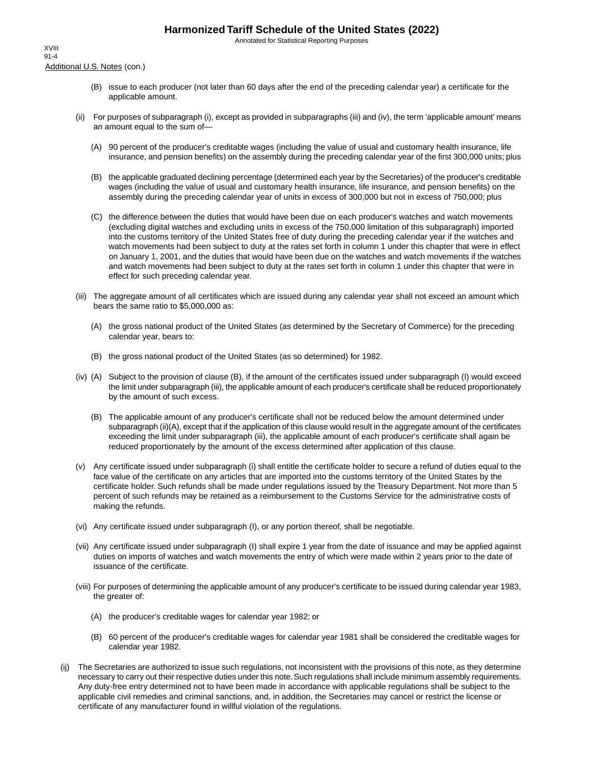Annotated for Statistical Reporting Purposes

Additional U.S. Notes (con.) XVIII 91-4

- (B) issue to each producer (not later than 60 days after the end of the preceding calendar year) a certificate for the applicable amount.
- (ii) For purposes of subparagraph (i), except as provided in subparagraphs (iii) and (iv), the term 'applicable amount' means an amount equal to the sum of—
	- (A) 90 percent of the producer's creditable wages (including the value of usual and customary health insurance, life insurance, and pension benefits) on the assembly during the preceding calendar year of the first 300,000 units; plus
	- (B) the applicable graduated declining percentage (determined each year by the Secretaries) of the producer's creditable wages (including the value of usual and customary health insurance, life insurance, and pension benefits) on the assembly during the preceding calendar year of units in excess of 300,000 but not in excess of 750,000; plus
	- (C) the difference between the duties that would have been due on each producer's watches and watch movements (excluding digital watches and excluding units in excess of the 750,000 limitation of this subparagraph) imported into the customs territory of the United States free of duty during the preceding calendar year if the watches and watch movements had been subject to duty at the rates set forth in column 1 under this chapter that were in effect on January 1, 2001, and the duties that would have been due on the watches and watch movements if the watches and watch movements had been subject to duty at the rates set forth in column 1 under this chapter that were in effect for such preceding calendar year.
- (iii) The aggregate amount of all certificates which are issued during any calendar year shall not exceed an amount which bears the same ratio to \$5,000,000 as:
	- (A) the gross national product of the United States (as determined by the Secretary of Commerce) for the preceding calendar year, bears to:
	- (B) the gross national product of the United States (as so determined) for 1982.
- (iv) (A) Subject to the provision of clause (B), if the amount of the certificates issued under subparagraph (I) would exceed the limit under subparagraph (iii), the applicable amount of each producer's certificate shall be reduced proportionately by the amount of such excess.
	- (B) The applicable amount of any producer's certificate shall not be reduced below the amount determined under subparagraph (ii)(A), except that if the application of this clause would result in the aggregate amount of the certificates exceeding the limit under subparagraph (iii), the applicable amount of each producer's certificate shall again be reduced proportionately by the amount of the excess determined after application of this clause.
- (v) Any certificate issued under subparagraph (i) shall entitle the certificate holder to secure a refund of duties equal to the face value of the certificate on any articles that are imported into the customs territory of the United States by the certificate holder. Such refunds shall be made under regulations issued by the Treasury Department. Not more than 5 percent of such refunds may be retained as a reimbursement to the Customs Service for the administrative costs of making the refunds.
- (vi) Any certificate issued under subparagraph (I), or any portion thereof, shall be negotiable.
- (vii) Any certificate issued under subparagraph (I) shall expire 1 year from the date of issuance and may be applied against duties on imports of watches and watch movements the entry of which were made within 2 years prior to the date of issuance of the certificate.
- (viii) For purposes of determining the applicable amount of any producer's certificate to be issued during calendar year 1983, the greater of:
	- (A) the producer's creditable wages for calendar year 1982; or
	- (B) 60 percent of the producer's creditable wages for calendar year 1981 shall be considered the creditable wages for calendar year 1982.
- (ij) The Secretaries are authorized to issue such regulations, not inconsistent with the provisions of this note, as they determine necessary to carry out their respective duties under this note. Such regulations shall include minimum assembly requirements. Any duty-free entry determined not to have been made in accordance with applicable regulations shall be subject to the applicable civil remedies and criminal sanctions, and, in addition, the Secretaries may cancel or restrict the license or certificate of any manufacturer found in willful violation of the regulations.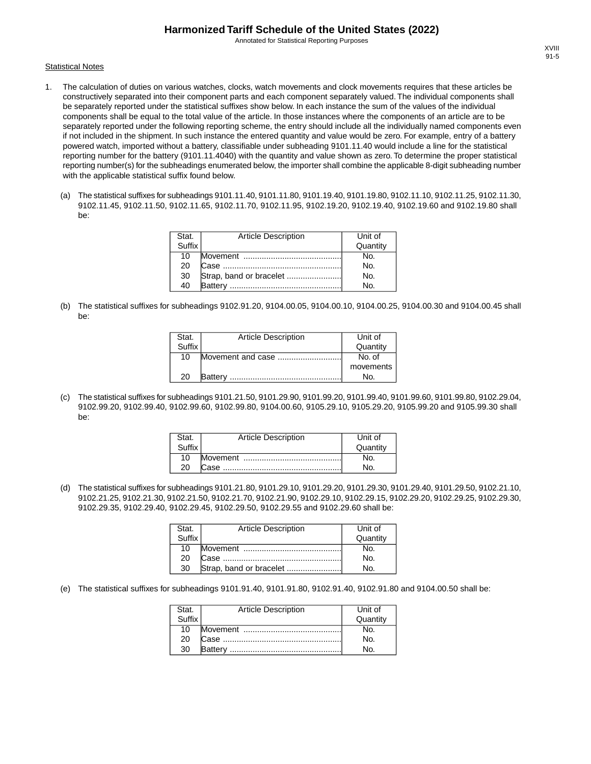Annotated for Statistical Reporting Purposes

#### **Statistical Notes**

- 1. The calculation of duties on various watches, clocks, watch movements and clock movements requires that these articles be constructively separated into their component parts and each component separately valued. The individual components shall be separately reported under the statistical suffixes show below. In each instance the sum of the values of the individual components shall be equal to the total value of the article. In those instances where the components of an article are to be separately reported under the following reporting scheme, the entry should include all the individually named components even if not included in the shipment. In such instance the entered quantity and value would be zero. For example, entry of a battery powered watch, imported without a battery, classifiable under subheading 9101.11.40 would include a line for the statistical reporting number for the battery (9101.11.4040) with the quantity and value shown as zero. To determine the proper statistical reporting number(s) for the subheadings enumerated below, the importer shall combine the applicable 8-digit subheading number with the applicable statistical suffix found below.
	- (a) The statistical suffixes for subheadings 9101.11.40, 9101.11.80, 9101.19.40, 9101.19.80, 9102.11.10, 9102.11.25, 9102.11.30, 9102.11.45, 9102.11.50, 9102.11.65, 9102.11.70, 9102.11.95, 9102.19.20, 9102.19.40, 9102.19.60 and 9102.19.80 shall be:

| Stat.  | <b>Article Description</b> | Unit of  |
|--------|----------------------------|----------|
| Suffix |                            | Quantity |
| 10     |                            | N٥.      |
| 20     |                            | No.      |
| 30     |                            | No.      |
| 40     | <b>Battery</b>             | No.      |

(b) The statistical suffixes for subheadings 9102.91.20, 9104.00.05, 9104.00.10, 9104.00.25, 9104.00.30 and 9104.00.45 shall be:

| Stat.  | <b>Article Description</b> | Unit of   |
|--------|----------------------------|-----------|
| Suffix |                            | Quantity  |
| 10     | Movement and case          | No. of    |
|        |                            | movements |
| 20     | <b>Battery</b>             | No.       |

(c) The statistical suffixes for subheadings 9101.21.50, 9101.29.90, 9101.99.20, 9101.99.40, 9101.99.60, 9101.99.80, 9102.29.04, 9102.99.20, 9102.99.40, 9102.99.60, 9102.99.80, 9104.00.60, 9105.29.10, 9105.29.20, 9105.99.20 and 9105.99.30 shall be:

| Stat.  | <b>Article Description</b> | Unit of  |
|--------|----------------------------|----------|
| Suffix |                            | Quantity |
| 10     |                            |          |
| 20     |                            |          |

(d) The statistical suffixes for subheadings 9101.21.80, 9101.29.10, 9101.29.20, 9101.29.30, 9101.29.40, 9101.29.50, 9102.21.10, 9102.21.25, 9102.21.30, 9102.21.50, 9102.21.70, 9102.21.90, 9102.29.10, 9102.29.15, 9102.29.20, 9102.29.25, 9102.29.30, 9102.29.35, 9102.29.40, 9102.29.45, 9102.29.50, 9102.29.55 and 9102.29.60 shall be:

| Stat.<br>Suffix | <b>Article Description</b> | Unit of  |
|-----------------|----------------------------|----------|
|                 |                            | Quantity |
| 10              |                            | No.      |
| 20              |                            | No.      |
| 30              | Strap, band or bracelet    | N٥       |

(e) The statistical suffixes for subheadings 9101.91.40, 9101.91.80, 9102.91.40, 9102.91.80 and 9104.00.50 shall be:

| Stat.  | <b>Article Description</b> | Unit of        |
|--------|----------------------------|----------------|
| Suffix |                            | Quantity       |
| 10     |                            | No.            |
| 20     |                            | N <sub>O</sub> |
| 30     |                            | N٥             |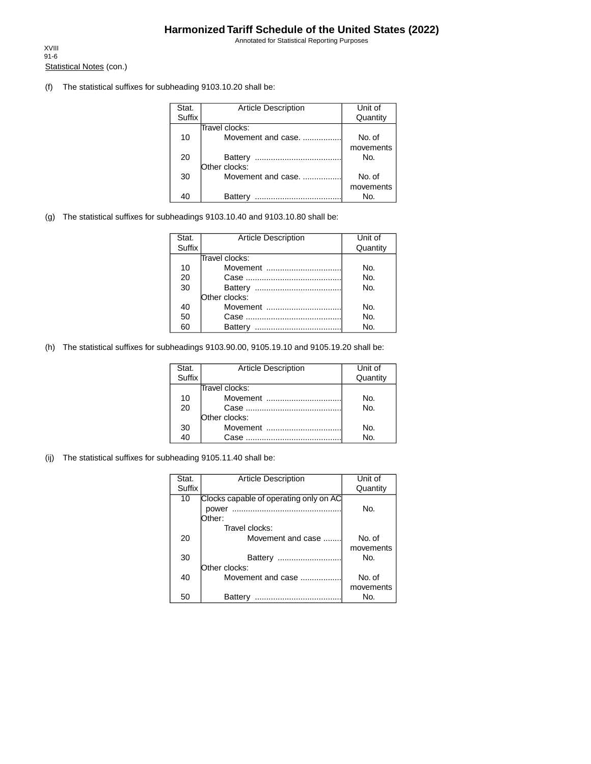Annotated for Statistical Reporting Purposes

Statistical Notes (con.) XVIII 91-6

(f) The statistical suffixes for subheading 9103.10.20 shall be:

| Stat.         | <b>Article Description</b> | Unit of   |
|---------------|----------------------------|-----------|
| <b>Suffix</b> |                            | Quantity  |
|               | Travel clocks:             |           |
| 10            | Movement and case.         | No. of    |
|               |                            | movements |
| 20            | Battery                    | No.       |
|               | Other clocks:              |           |
| 30            | Movement and case.         | No. of    |
|               |                            | movements |
|               | Batterv<br>.               | Nο.       |

(g) The statistical suffixes for subheadings 9103.10.40 and 9103.10.80 shall be:

| Stat.  | <b>Article Description</b> | Unit of  |
|--------|----------------------------|----------|
| Suffix |                            | Quantity |
|        | Travel clocks:             |          |
| 10     | Movement                   | No.      |
| 20     |                            | No.      |
| 30     |                            | No.      |
|        | Other clocks:              |          |
| 40     | Movement                   | No.      |
| 50     |                            | No.      |
| 60     | Battery                    | No.      |

(h) The statistical suffixes for subheadings 9103.90.00, 9105.19.10 and 9105.19.20 shall be:

| Stat.         | <b>Article Description</b> | Unit of  |
|---------------|----------------------------|----------|
| <b>Suffix</b> |                            | Quantity |
|               | Travel clocks:             |          |
| 10            | Movement                   | No.      |
| 20            |                            | No.      |
|               | Other clocks:              |          |
| 30            | Movement                   | No.      |
| 40            | Case                       | No.      |

(ij) The statistical suffixes for subheading 9105.11.40 shall be:

| Stat.  | <b>Article Description</b>             | Unit of   |
|--------|----------------------------------------|-----------|
| Suffix |                                        | Quantity  |
| 10     | Clocks capable of operating only on AC |           |
|        | power                                  | No.       |
|        | Dther:                                 |           |
|        | Travel clocks:                         |           |
| 20     | Movement and case                      | No. of    |
|        |                                        | movements |
| 30     | Battery<br>                            | No.       |
|        | Other clocks:                          |           |
| 40     | Movement and case                      | No. of    |
|        |                                        | movements |
| 50     | Battery<br>                            | No.       |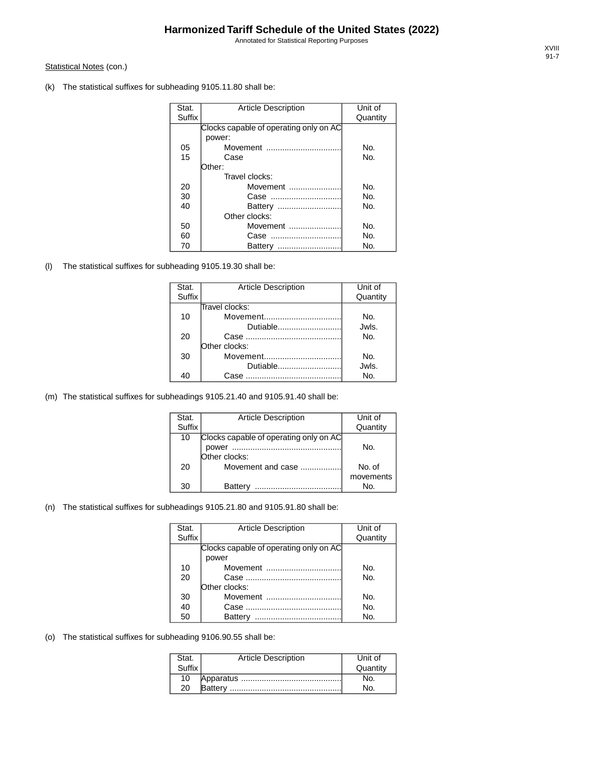Annotated for Statistical Reporting Purposes

### Statistical Notes (con.)

(k) The statistical suffixes for subheading 9105.11.80 shall be:

| Stat.         | <b>Article Description</b>             | Unit of  |
|---------------|----------------------------------------|----------|
| <b>Suffix</b> |                                        | Quantity |
|               | Clocks capable of operating only on AC |          |
|               | power:                                 |          |
| 05            | Movement                               | No.      |
| 15            | Case                                   | No.      |
|               | :Other:                                |          |
|               | Travel clocks:                         |          |
| 20            | Movement                               | No.      |
| 30            | Case                                   | No.      |
| 40            |                                        | No.      |
|               | Other clocks:                          |          |
| 50            | Movement                               | No.      |
| 60            | Case                                   | No.      |
| 70            | Battery                                | No.      |

(l) The statistical suffixes for subheading 9105.19.30 shall be:

| Stat.  | <b>Article Description</b> | Unit of  |
|--------|----------------------------|----------|
| Suffix |                            | Quantity |
|        | Travel clocks:             |          |
| 10     |                            | No.      |
|        | Dutiable                   | Jwls.    |
| 20     |                            | No.      |
|        | Other clocks:              |          |
| 30     | Movement                   | No.      |
|        | Dutiable                   | Jwls.    |
| 40     | Case                       | No.      |

(m) The statistical suffixes for subheadings 9105.21.40 and 9105.91.40 shall be:

| Stat.  | <b>Article Description</b>             | Unit of   |
|--------|----------------------------------------|-----------|
| Suffix |                                        | Quantity  |
| 10     | Clocks capable of operating only on AC |           |
|        | power<br>                              | No.       |
|        | Other clocks:                          |           |
| 20     | Movement and case                      | No. of    |
|        |                                        | movements |
| 30     | Battery                                | No.       |

### (n) The statistical suffixes for subheadings 9105.21.80 and 9105.91.80 shall be:

| Stat.  | <b>Article Description</b>             | Unit of  |
|--------|----------------------------------------|----------|
| Suffix |                                        | Quantity |
|        | Clocks capable of operating only on AC |          |
|        | power                                  |          |
| 10     | Movement                               | No.      |
| 20     |                                        | No.      |
|        | Other clocks:                          |          |
| 30     | Movement                               | No.      |
| 40     |                                        | No.      |
| 50     | Battery                                | No.      |

(o) The statistical suffixes for subheading 9106.90.55 shall be:

| Stat.  | <b>Article Description</b> | Unit of  |
|--------|----------------------------|----------|
| Suffix |                            | Quantity |
| 10     |                            |          |
| 20     |                            |          |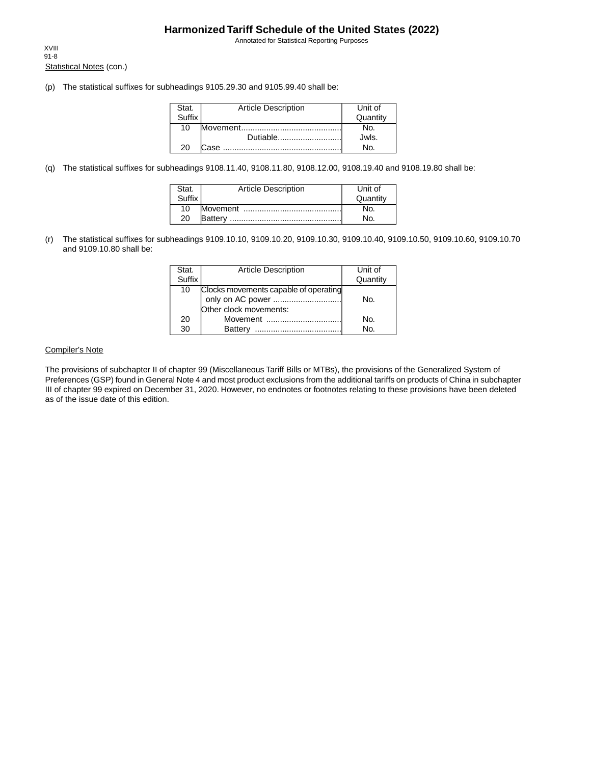Annotated for Statistical Reporting Purposes

Statistical Notes (con.) XVIII 91-8

(p) The statistical suffixes for subheadings 9105.29.30 and 9105.99.40 shall be:

| Stat.         | <b>Article Description</b> | Unit of  |
|---------------|----------------------------|----------|
| <b>Suffix</b> |                            | Quantity |
| 10            |                            | No.      |
|               | Dutiable                   | Jwls.    |
| 20            | Case.                      |          |

(q) The statistical suffixes for subheadings 9108.11.40, 9108.11.80, 9108.12.00, 9108.19.40 and 9108.19.80 shall be:

| Stat.  | <b>Article Description</b> | Unit of  |
|--------|----------------------------|----------|
| Suffix |                            | Quantity |
| 10     |                            | NO.      |
| 20     |                            | No.      |

(r) The statistical suffixes for subheadings 9109.10.10, 9109.10.20, 9109.10.30, 9109.10.40, 9109.10.50, 9109.10.60, 9109.10.70 and 9109.10.80 shall be:

| Stat.         | <b>Article Description</b>            | Unit of  |
|---------------|---------------------------------------|----------|
| <b>Suffix</b> |                                       | Quantity |
| 10            | Clocks movements capable of operating |          |
|               |                                       | No.      |
|               | Other clock movements:                |          |
| 20            | Movement                              | No.      |
| 30            | <b>Battery</b>                        | No.      |

### Compiler's Note

The provisions of subchapter II of chapter 99 (Miscellaneous Tariff Bills or MTBs), the provisions of the Generalized System of Preferences (GSP) found in General Note 4 and most product exclusions from the additional tariffs on products of China in subchapter III of chapter 99 expired on December 31, 2020. However, no endnotes or footnotes relating to these provisions have been deleted as of the issue date of this edition.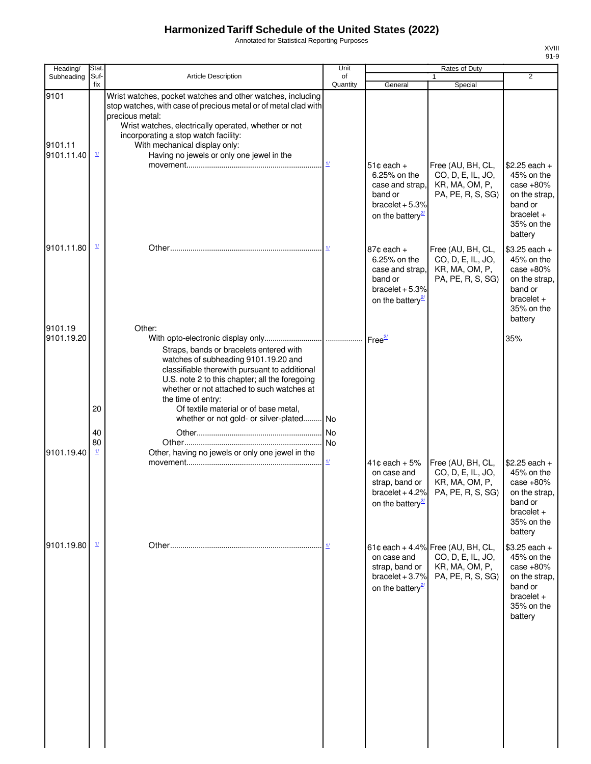Annotated for Statistical Reporting Purposes

| Heading/                      | Stat.                                |                                                                                                                                                                                                                                                                                                                                | Unit                                        |                                                                                                                  | <b>Rates of Duty</b>                                                                          |                                                                                                                  |
|-------------------------------|--------------------------------------|--------------------------------------------------------------------------------------------------------------------------------------------------------------------------------------------------------------------------------------------------------------------------------------------------------------------------------|---------------------------------------------|------------------------------------------------------------------------------------------------------------------|-----------------------------------------------------------------------------------------------|------------------------------------------------------------------------------------------------------------------|
| Subheading                    | Suf-<br>fix                          | <b>Article Description</b>                                                                                                                                                                                                                                                                                                     | of<br>Quantity                              | General                                                                                                          | $\mathbf{1}$<br>Special                                                                       | $\overline{2}$                                                                                                   |
| 9101<br>9101.11<br>9101.11.40 | $\frac{1}{2}$                        | Wrist watches, pocket watches and other watches, including<br>stop watches, with case of precious metal or of metal clad with<br>precious metal:<br>Wrist watches, electrically operated, whether or not<br>incorporating a stop watch facility:<br>With mechanical display only:<br>Having no jewels or only one jewel in the | $\underline{\mathbf{1}l}$                   |                                                                                                                  |                                                                                               |                                                                                                                  |
|                               |                                      |                                                                                                                                                                                                                                                                                                                                |                                             | $51¢$ each $+$<br>6.25% on the<br>case and strap,<br>band or<br>bracelet $+5.3%$<br>on the battery <sup>27</sup> | Free (AU, BH, CL,<br>CO, D, E, IL, JO,<br>KR, MA, OM, P,<br>PA, PE, R, S, SG)                 | $$2.25$ each +<br>45% on the<br>case $+80%$<br>on the strap.<br>band or<br>$bracelet +$<br>35% on the<br>battery |
| 9101.11.80                    | $\frac{1}{2}$                        |                                                                                                                                                                                                                                                                                                                                |                                             | $87¢$ each $+$<br>6.25% on the<br>case and strap.<br>band or<br>bracelet $+5.3%$<br>on the battery <sup>27</sup> | Free (AU, BH, CL,<br>CO, D, E, IL, JO,<br>KR, MA, OM, P,<br>PA, PE, R, S, SG)                 | $$3.25$ each +<br>45% on the<br>case $+80%$<br>on the strap,<br>band or<br>$bracelet +$<br>35% on the<br>battery |
| 9101.19<br>9101.19.20         |                                      | Other:<br>Straps, bands or bracelets entered with<br>watches of subheading 9101.19.20 and<br>classifiable therewith pursuant to additional<br>U.S. note 2 to this chapter; all the foregoing<br>whether or not attached to such watches at<br>the time of entry:                                                               |                                             |                                                                                                                  |                                                                                               | 35%                                                                                                              |
|                               | 20                                   | Of textile material or of base metal,<br>whether or not gold- or silver-plated No                                                                                                                                                                                                                                              |                                             |                                                                                                                  |                                                                                               |                                                                                                                  |
| 9101.19.40                    | 40<br>80<br>$\mathbf{\underline{1}}$ | Other, having no jewels or only one jewel in the                                                                                                                                                                                                                                                                               | No<br><b>No</b><br>$\mathbf{\underline{1}}$ | $41¢$ each + $5%$                                                                                                | Free (AU, BH, CL,                                                                             | $$2.25$ each +                                                                                                   |
|                               |                                      |                                                                                                                                                                                                                                                                                                                                |                                             | on case and<br>strap, band or<br>bracelet $+4.2%$<br>on the battery <sup>27</sup>                                | CO, D, E, IL, JO,<br>KR, MA, OM, P,<br>PA, PE, R, S, SG)                                      | 45% on the<br>case $+80%$<br>on the strap,<br>band or<br>$bracelet +$<br>35% on the<br>battery                   |
| 9101.19.80                    | $\mathbf{\underline{1}}$             |                                                                                                                                                                                                                                                                                                                                |                                             | on case and<br>strap, band or<br>bracelet $+3.7%$<br>on the battery <sup>27</sup>                                | 61¢ each + 4.4% Free (AU, BH, CL,<br>CO, D, E, IL, JO,<br>KR, MA, OM, P,<br>PA, PE, R, S, SG) | $$3.25$ each +<br>45% on the<br>case $+80%$<br>on the strap,<br>band or<br>$bracelet +$<br>35% on the<br>battery |
|                               |                                      |                                                                                                                                                                                                                                                                                                                                |                                             |                                                                                                                  |                                                                                               |                                                                                                                  |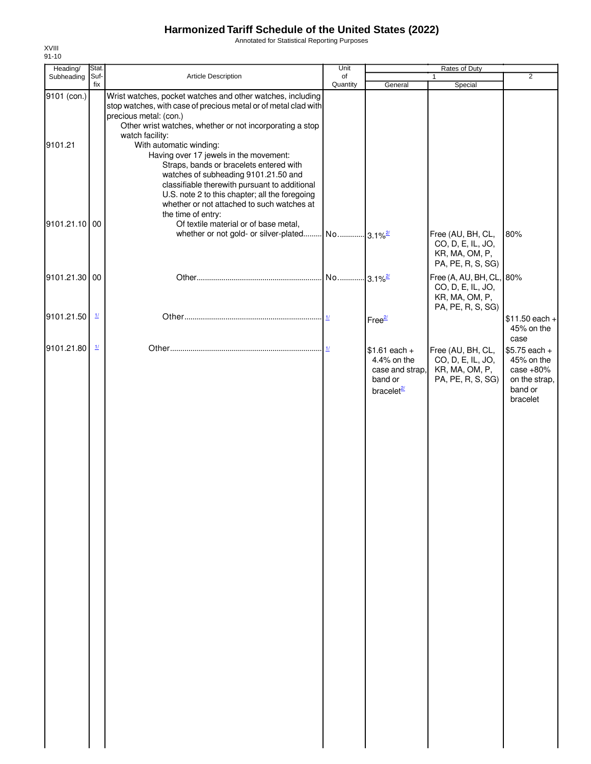Annotated for Statistical Reporting Purposes

| Heading/               | Stat.                    |                                                                                                                                                                                                                                                                                                                                                                | Unit                  |                                                                                       | Rates of Duty                                                                        |                                                                                     |
|------------------------|--------------------------|----------------------------------------------------------------------------------------------------------------------------------------------------------------------------------------------------------------------------------------------------------------------------------------------------------------------------------------------------------------|-----------------------|---------------------------------------------------------------------------------------|--------------------------------------------------------------------------------------|-------------------------------------------------------------------------------------|
| Subheading Suf-        | fix                      | Article Description                                                                                                                                                                                                                                                                                                                                            | of<br>Quantity        | General                                                                               | 1<br>Special                                                                         | $\overline{2}$                                                                      |
| 9101 (con.)<br>9101.21 |                          | Wrist watches, pocket watches and other watches, including<br>stop watches, with case of precious metal or of metal clad with<br>precious metal: (con.)<br>Other wrist watches, whether or not incorporating a stop<br>watch facility:<br>With automatic winding:<br>Having over 17 jewels in the movement:                                                    |                       |                                                                                       |                                                                                      |                                                                                     |
| 9101.21.10 00          |                          | Straps, bands or bracelets entered with<br>watches of subheading 9101.21.50 and<br>classifiable therewith pursuant to additional<br>U.S. note 2 to this chapter; all the foregoing<br>whether or not attached to such watches at<br>the time of entry:<br>Of textile material or of base metal,<br>whether or not gold- or silver-plated No 3.1% <sup>2/</sup> |                       |                                                                                       | Free (AU, BH, CL,<br>CO, D, E, IL, JO,<br>KR, MA, OM, P,<br>PA, PE, R, S, SG)        | 80%                                                                                 |
| 9101.21.30 00          |                          |                                                                                                                                                                                                                                                                                                                                                                | No 3.1% <sup>2/</sup> |                                                                                       | Free (A, AU, BH, CL, 80%<br>CO, D, E, IL, JO,<br>KR, MA, OM, P,<br>PA, PE, R, S, SG) |                                                                                     |
| 9101.21.50             | $\mathbf{\underline{1}}$ |                                                                                                                                                                                                                                                                                                                                                                |                       | Free <sup>2/</sup>                                                                    |                                                                                      | $$11.50$ each +<br>45% on the<br>case                                               |
| 9101.21.80             | $\mathbf{\underline{1}}$ |                                                                                                                                                                                                                                                                                                                                                                | 1/                    | $$1.61$ each +<br>4.4% on the<br>case and strap,<br>band or<br>bracelet <sup>2/</sup> | Free (AU, BH, CL,<br>CO, D, E, IL, JO,<br>KR, MA, OM, P,<br>PA, PE, R, S, SG)        | $$5.75$ each +<br>45% on the<br>case $+80%$<br>on the strap,<br>band or<br>bracelet |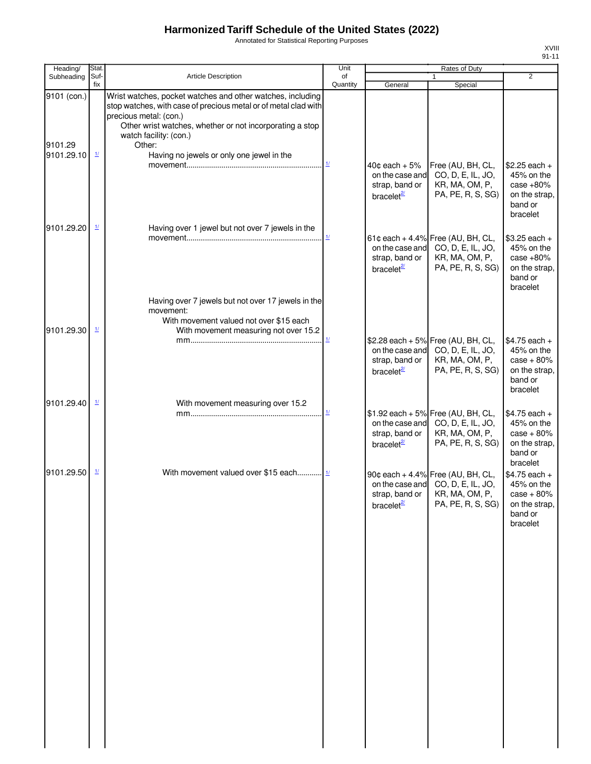Annotated for Statistical Reporting Purposes

| ı<br>'' |  |
|---------|--|
|         |  |

| Heading/               | Stat.                    |                                                                                                                                                                                                                                                         | Unit                                              |                                                                                  | Rates of Duty                                                                                                                  |                                                                                                   |
|------------------------|--------------------------|---------------------------------------------------------------------------------------------------------------------------------------------------------------------------------------------------------------------------------------------------------|---------------------------------------------------|----------------------------------------------------------------------------------|--------------------------------------------------------------------------------------------------------------------------------|---------------------------------------------------------------------------------------------------|
| Subheading             | Suf-<br>fix              | Article Description                                                                                                                                                                                                                                     | of<br>Quantity                                    | General                                                                          | 1<br>Special                                                                                                                   | $\overline{2}$                                                                                    |
| 9101 (con.)<br>9101.29 |                          | Wrist watches, pocket watches and other watches, including<br>stop watches, with case of precious metal or of metal clad with<br>precious metal: (con.)<br>Other wrist watches, whether or not incorporating a stop<br>watch facility: (con.)<br>Other: |                                                   |                                                                                  |                                                                                                                                |                                                                                                   |
| 9101.29.10             | $\frac{1}{2}$            | Having no jewels or only one jewel in the                                                                                                                                                                                                               | $\mathbf{\underline{1}\underline{\mathbf{\ell}}}$ | $40¢$ each $+5\%$<br>on the case and<br>strap, band or<br>bracelet <sup>2/</sup> | Free (AU, BH, CL,<br>CO, D, E, IL, JO,<br>KR, MA, OM, P,<br>PA, PE, R, S, SG)                                                  | $$2.25$ each +<br>45% on the<br>case $+80%$<br>on the strap,<br>band or<br>bracelet               |
| 9101.29.20             | $\mathbf{\underline{1}}$ | Having over 1 jewel but not over 7 jewels in the                                                                                                                                                                                                        |                                                   | strap, band or<br>bracelet <sup>2/</sup>                                         | 61¢ each + 4.4% Free (AU, BH, CL,<br>on the case and CO, D, E, IL, JO,<br>KR, MA, OM, P,<br>PA, PE, R, S, SG)                  | \$3.25 each +<br>45% on the<br>case $+80%$<br>on the strap,<br>band or<br>bracelet                |
| 9101.29.30             | $\mathbf{\underline{1}}$ | Having over 7 jewels but not over 17 jewels in the<br>movement:<br>With movement valued not over \$15 each<br>With movement measuring not over 15.2                                                                                                     |                                                   | strap, band or<br>bracelet <sup>2/</sup>                                         | \$2.28 each + 5% Free (AU, BH, CL,<br>on the case and CO, D, E, IL, JO,<br>KR, MA, OM, P,<br>PA, PE, R, S, SG)                 | $$4.75$ each +<br>45% on the<br>$case + 80%$<br>on the strap,<br>band or<br>bracelet              |
| 9101.29.40             | $\mathbf{\underline{1}}$ | With movement measuring over 15.2                                                                                                                                                                                                                       | $\frac{1}{2}$                                     | strap, band or<br>bracelet $\frac{2}{3}$                                         | \$1.92 each + 5% Free (AU, BH, CL,<br>on the case and CO, D, E, IL, JO,<br>KR, MA, OM, P,<br>PA, PE, R, S, SG)                 | $$4.75$ each +<br>45% on the<br>$case + 80\%$<br>on the strap,<br>band or                         |
| 9101.29.50             | $\mathbf{\underline{1}}$ | With movement valued over \$15 each $\frac{1}{1}$                                                                                                                                                                                                       |                                                   | bracelet $\frac{27}{2}$                                                          | 90¢ each + 4.4% Free (AU, BH, CL,<br>on the case and CO, D, E, IL, JO,<br>strap, band or   KR, MA, OM, P,<br>PA, PE, R, S, SG) | bracelet<br>$$4.75$ each +<br>45% on the<br>$case + 80\%$<br>on the strap,<br>band or<br>bracelet |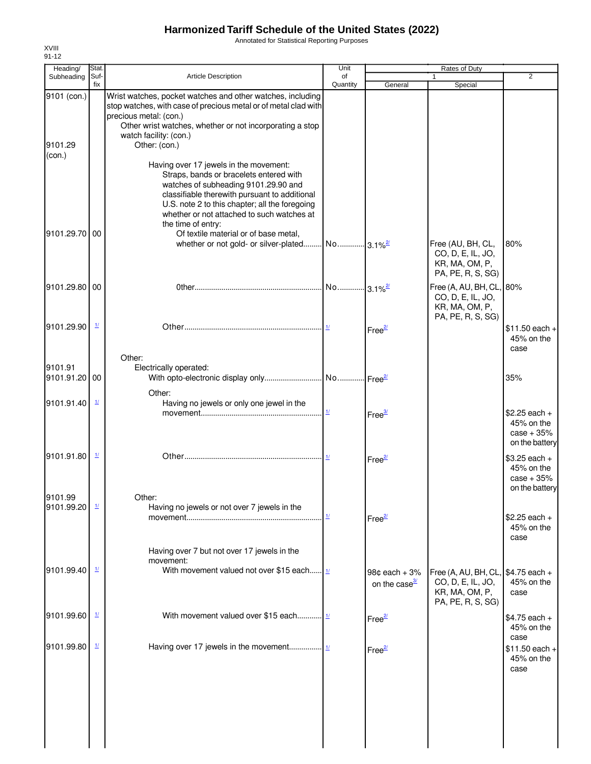Annotated for Statistical Reporting Purposes

| Heading/                         | Stat.                    |                                                                                                                                                                                                                                                                                                                                                                                                         | Unit                               |                                                | Rates of Duty                                                                        |                                                                |
|----------------------------------|--------------------------|---------------------------------------------------------------------------------------------------------------------------------------------------------------------------------------------------------------------------------------------------------------------------------------------------------------------------------------------------------------------------------------------------------|------------------------------------|------------------------------------------------|--------------------------------------------------------------------------------------|----------------------------------------------------------------|
| Subheading                       | Suf-<br>fix              | <b>Article Description</b>                                                                                                                                                                                                                                                                                                                                                                              | of<br>Quantity                     | General                                        | $\mathbf{1}$<br>Special                                                              | $\overline{2}$                                                 |
| 9101 (con.)<br>9101.29<br>(con.) |                          | Wrist watches, pocket watches and other watches, including<br>stop watches, with case of precious metal or of metal clad with<br>precious metal: (con.)<br>Other wrist watches, whether or not incorporating a stop<br>watch facility: (con.)<br>Other: (con.)                                                                                                                                          |                                    |                                                |                                                                                      |                                                                |
| 9101.29.70 00                    |                          | Having over 17 jewels in the movement:<br>Straps, bands or bracelets entered with<br>watches of subheading 9101.29.90 and<br>classifiable therewith pursuant to additional<br>U.S. note 2 to this chapter; all the foregoing<br>whether or not attached to such watches at<br>the time of entry:<br>Of textile material or of base metal,<br>whether or not gold- or silver-plated No 3.1% <sup>2</sup> |                                    |                                                | Free (AU, BH, CL,<br>CO, D, E, IL, JO,                                               | 80%                                                            |
|                                  |                          |                                                                                                                                                                                                                                                                                                                                                                                                         |                                    |                                                | KR, MA, OM, P,<br>PA, PE, R, S, SG)                                                  |                                                                |
| 9101.29.80 00                    |                          |                                                                                                                                                                                                                                                                                                                                                                                                         |                                    |                                                | Free (A, AU, BH, CL, 80%<br>CO, D, E, IL, JO,<br>KR, MA, OM, P,<br>PA, PE, R, S, SG) |                                                                |
| 9101.29.90                       | $\frac{1}{2}$            |                                                                                                                                                                                                                                                                                                                                                                                                         |                                    | Free <sup>2/</sup>                             |                                                                                      | $$11.50$ each +<br>45% on the<br>case                          |
| 9101.91<br>9101.91.20 00         |                          | Other:<br>Electrically operated:                                                                                                                                                                                                                                                                                                                                                                        |                                    |                                                |                                                                                      | 35%                                                            |
| 9101.91.40                       | $\mathbf{\underline{1}}$ | Other:<br>Having no jewels or only one jewel in the                                                                                                                                                                                                                                                                                                                                                     |                                    |                                                |                                                                                      |                                                                |
|                                  |                          |                                                                                                                                                                                                                                                                                                                                                                                                         | $\overline{11}$                    | Free <sup>3/</sup>                             |                                                                                      | $$2.25$ each +<br>45% on the<br>$case + 35%$<br>on the battery |
| 9101.91.80                       | $\mathbf{\underline{1}}$ |                                                                                                                                                                                                                                                                                                                                                                                                         |                                    | Free <sup>2/</sup>                             |                                                                                      | $$3.25$ each +<br>45% on the<br>$case + 35%$<br>on the battery |
| 9101.99<br>9101.99.20            | $\frac{1}{2}$            | Other:<br>Having no jewels or not over 7 jewels in the                                                                                                                                                                                                                                                                                                                                                  | $\underline{\mathit{1}\mathit{l}}$ | Free <sup>2/</sup>                             |                                                                                      | $$2.25$ each +<br>45% on the                                   |
|                                  |                          | Having over 7 but not over 17 jewels in the<br>movement:                                                                                                                                                                                                                                                                                                                                                |                                    |                                                |                                                                                      | case                                                           |
| 9101.99.40                       | $\mathbf{\underline{1}}$ | With movement valued not over \$15 each $\frac{1}{2}$                                                                                                                                                                                                                                                                                                                                                   |                                    | $98¢$ each + $3%$<br>on the case $\frac{3}{2}$ | Free (A, AU, BH, CL,<br>CO, D, E, IL, JO,<br>KR, MA, OM, P,<br>PA, PE, R, S, SG)     | $$4.75$ each +<br>45% on the<br>case                           |
| 9101.99.60                       | $\mathbf{\underline{1}}$ | With movement valued over \$15 each 1/                                                                                                                                                                                                                                                                                                                                                                  |                                    | Free <sup>2/</sup>                             |                                                                                      | $$4.75$ each +<br>45% on the                                   |
| 9101.99.80                       | $\mathbf{\underline{1}}$ |                                                                                                                                                                                                                                                                                                                                                                                                         |                                    | Free <sup>2/</sup>                             |                                                                                      | case<br>$$11.50$ each +<br>45% on the<br>case                  |
|                                  |                          |                                                                                                                                                                                                                                                                                                                                                                                                         |                                    |                                                |                                                                                      |                                                                |
|                                  |                          |                                                                                                                                                                                                                                                                                                                                                                                                         |                                    |                                                |                                                                                      |                                                                |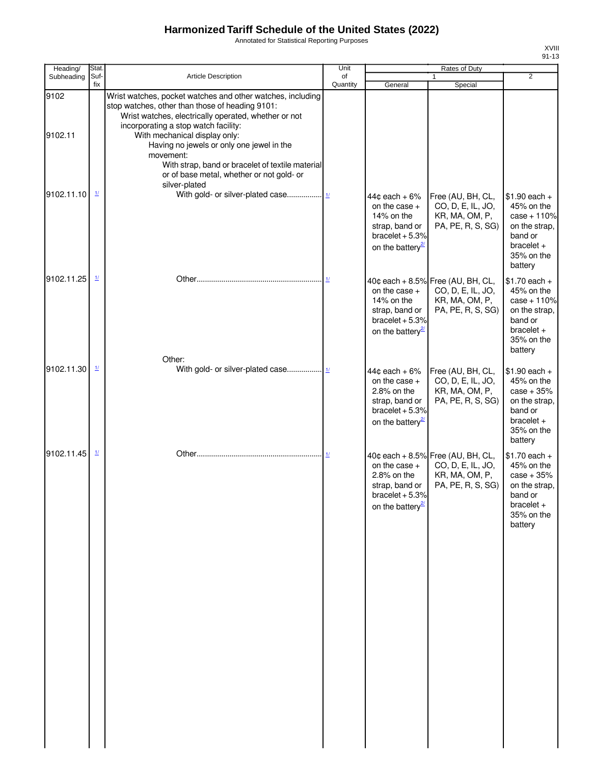Annotated for Statistical Reporting Purposes

| Heading/        | Stat.                    |                                                                                                                                                                                                                                                                                                                                                                                                                            | Unit                      |                                                                                                                            | <b>Rates of Duty</b>                                                                          |                                                                                                                    |
|-----------------|--------------------------|----------------------------------------------------------------------------------------------------------------------------------------------------------------------------------------------------------------------------------------------------------------------------------------------------------------------------------------------------------------------------------------------------------------------------|---------------------------|----------------------------------------------------------------------------------------------------------------------------|-----------------------------------------------------------------------------------------------|--------------------------------------------------------------------------------------------------------------------|
| Subheading      | Suf-<br>fix              | Article Description                                                                                                                                                                                                                                                                                                                                                                                                        | of<br>Quantity            | General                                                                                                                    | $\mathbf{1}$<br>Special                                                                       | $\overline{2}$                                                                                                     |
| 9102<br>9102.11 |                          | Wrist watches, pocket watches and other watches, including<br>stop watches, other than those of heading 9101:<br>Wrist watches, electrically operated, whether or not<br>incorporating a stop watch facility:<br>With mechanical display only:<br>Having no jewels or only one jewel in the<br>movement:<br>With strap, band or bracelet of textile material<br>or of base metal, whether or not gold- or<br>silver-plated |                           |                                                                                                                            |                                                                                               |                                                                                                                    |
| 9102.11.10      | $\frac{1}{2}$            |                                                                                                                                                                                                                                                                                                                                                                                                                            |                           | $44¢$ each + 6%<br>on the case $+$<br>14% on the<br>strap, band or<br>bracelet $+5.3%$<br>on the battery <sup>27</sup>     | Free (AU, BH, CL,<br>CO, D, E, IL, JO,<br>KR, MA, OM, P,<br>PA, PE, R, S, SG)                 | $$1.90$ each +<br>45% on the<br>$case + 110%$<br>on the strap,<br>band or<br>$bracelet +$<br>35% on the<br>battery |
| 9102.11.25      | $\frac{1}{2}$            |                                                                                                                                                                                                                                                                                                                                                                                                                            | 11                        | on the case $+$<br>14% on the<br>strap, band or<br>$bracelet + 5.3%$<br>on the battery <sup>27</sup>                       | 40¢ each + 8.5% Free (AU, BH, CL,<br>CO, D, E, IL, JO,<br>KR, MA, OM, P,<br>PA, PE, R, S, SG) | $$1.70$ each +<br>45% on the<br>$case + 110%$<br>on the strap,<br>band or<br>$bracelet +$<br>35% on the<br>battery |
| 9102.11.30      | $\frac{1}{2}$            | Other:                                                                                                                                                                                                                                                                                                                                                                                                                     |                           | $44¢$ each + $6\%$<br>on the case $+$<br>2.8% on the<br>strap, band or<br>bracelet $+5.3%$<br>on the battery <sup>27</sup> | Free (AU, BH, CL,<br>CO, D, E, IL, JO,<br>KR, MA, OM, P,<br>PA, PE, R, S, SG)                 | $$1.90$ each +<br>45% on the<br>$case + 35%$<br>on the strap,<br>band or<br>$bracelet +$<br>35% on the<br>battery  |
| 9102.11.45      | $\mathbf{\underline{1}}$ |                                                                                                                                                                                                                                                                                                                                                                                                                            | $\underline{\mathbf{1}l}$ | on the case $+$<br>2.8% on the<br>strap, band or<br>bracelet $+5.3%$<br>on the battery <sup>21</sup>                       | 40¢ each + 8.5% Free (AU, BH, CL,<br>CO, D, E, IL, JO,<br>KR, MA, OM, P,<br>PA, PE, R, S, SG) | $$1.70$ each +<br>45% on the<br>$case + 35%$<br>on the strap,<br>band or<br>$bracelet +$<br>35% on the<br>battery  |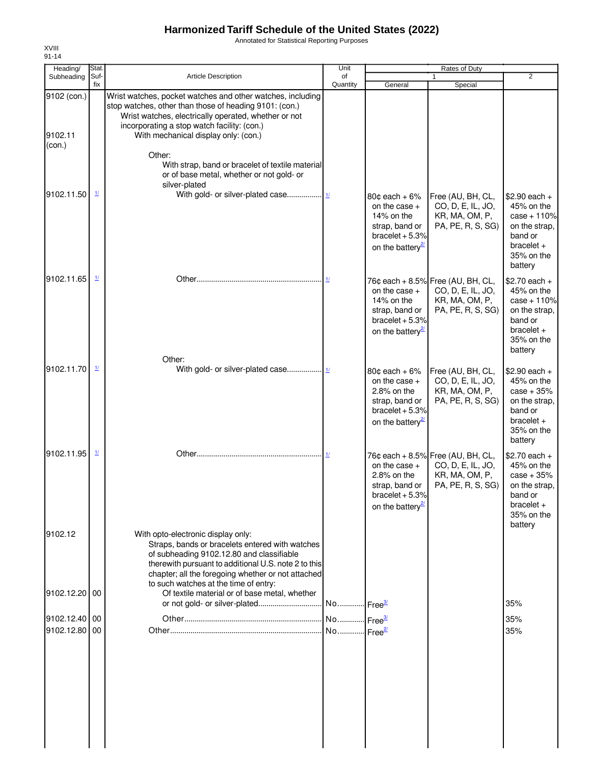Annotated for Statistical Reporting Purposes

| Heading/                         | Stat.                                 |                                                                                                                                                                                                                                                                                           | Unit                                           |                                                                                                                        | Rates of Duty                                                                                 |                                                                                                                    |
|----------------------------------|---------------------------------------|-------------------------------------------------------------------------------------------------------------------------------------------------------------------------------------------------------------------------------------------------------------------------------------------|------------------------------------------------|------------------------------------------------------------------------------------------------------------------------|-----------------------------------------------------------------------------------------------|--------------------------------------------------------------------------------------------------------------------|
| Subheading                       | Suf-<br>fix                           | <b>Article Description</b>                                                                                                                                                                                                                                                                | of<br>Quantity                                 | General                                                                                                                | $\mathbf{1}$<br>Special                                                                       | $\overline{2}$                                                                                                     |
| 9102 (con.)<br>9102.11<br>(con.) |                                       | Wrist watches, pocket watches and other watches, including<br>stop watches, other than those of heading 9101: (con.)<br>Wrist watches, electrically operated, whether or not<br>incorporating a stop watch facility: (con.)<br>With mechanical display only: (con.)                       |                                                |                                                                                                                        |                                                                                               |                                                                                                                    |
|                                  |                                       | Other:<br>With strap, band or bracelet of textile material<br>or of base metal, whether or not gold- or<br>silver-plated                                                                                                                                                                  |                                                |                                                                                                                        |                                                                                               |                                                                                                                    |
| 9102.11.50                       | $\underline{1}$                       |                                                                                                                                                                                                                                                                                           |                                                | $80¢$ each + 6%<br>on the case $+$<br>14% on the<br>strap, band or<br>bracelet $+5.3%$<br>on the battery <sup>27</sup> | Free (AU, BH, CL,<br>CO, D, E, IL, JO,<br>KR, MA, OM, P,<br>PA, PE, R, S, SG)                 | $$2.90$ each +<br>45% on the<br>$case + 110%$<br>on the strap,<br>band or<br>$bracelet +$<br>35% on the<br>battery |
| 9102.11.65                       | $\mathbf{\underline{1}}$              | Other:                                                                                                                                                                                                                                                                                    | 1/                                             | on the case $+$<br>14% on the<br>strap, band or<br>bracelet $+5.3%$<br>on the battery <sup>2</sup>                     | 76¢ each + 8.5% Free (AU, BH, CL,<br>CO, D, E, IL, JO,<br>KR, MA, OM, P,<br>PA, PE, R, S, SG) | $$2.70$ each +<br>45% on the<br>$case + 110%$<br>on the strap,<br>band or<br>$bracelet +$<br>35% on the<br>battery |
| 9102.11.70                       | $\frac{1}{2}$                         |                                                                                                                                                                                                                                                                                           |                                                | $80¢$ each + 6%<br>on the case $+$<br>2.8% on the<br>strap, band or<br>bracelet $+5.3%$<br>on the battery <sup>2</sup> | Free (AU, BH, CL,<br>CO, D, E, IL, JO,<br>KR, MA, OM, P,<br>PA, PE, R, S, SG)                 | $$2.90$ each +<br>45% on the<br>$case + 35%$<br>on the strap,<br>band or<br>$bracelet +$<br>35% on the<br>battery  |
| 9102.11.95                       | $\mathbf{\underline{1}\underline{1}}$ |                                                                                                                                                                                                                                                                                           | $\mathbf{\underline{1}}$                       | on the case $+$<br>$2.8\%$ on the<br>strap, band or<br>bracelet $+5.3%$<br>on the battery <sup>21</sup>                | 76¢ each + 8.5% Free (AU, BH, CL,<br>CO, D, E, IL, JO,<br>KR, MA, OM, P,<br>PA, PE, R, S, SG) | $$2.70$ each +<br>45% on the<br>$case + 35%$<br>on the strap,<br>band or<br>$bracelet +$<br>35% on the<br>battery  |
| 9102.12                          |                                       | With opto-electronic display only:<br>Straps, bands or bracelets entered with watches<br>of subheading 9102.12.80 and classifiable<br>therewith pursuant to additional U.S. note 2 to this<br>chapter; all the foregoing whether or not attached<br>to such watches at the time of entry: |                                                |                                                                                                                        |                                                                                               |                                                                                                                    |
| 9102.12.20 00                    |                                       | Of textile material or of base metal, whether                                                                                                                                                                                                                                             |                                                |                                                                                                                        |                                                                                               | 35%                                                                                                                |
| 9102.12.40 00<br>9102.12.80 00   |                                       |                                                                                                                                                                                                                                                                                           | No Free <sup>3/</sup><br>No Free <sup>2/</sup> |                                                                                                                        |                                                                                               | 35%<br>35%                                                                                                         |
|                                  |                                       |                                                                                                                                                                                                                                                                                           |                                                |                                                                                                                        |                                                                                               |                                                                                                                    |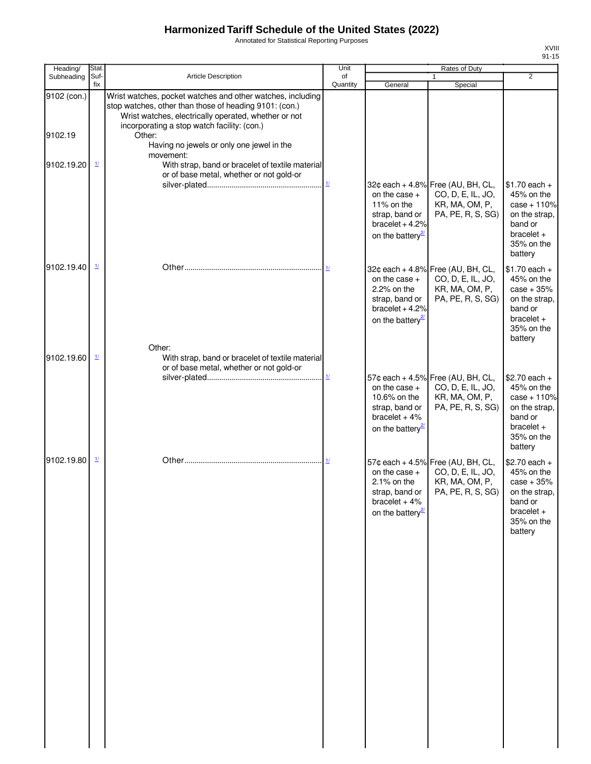Annotated for Statistical Reporting Purposes

| Heading/<br>Subheading | Stat.<br>Suf-                      | Article Description                                                                                                                                                                                                                   | Unit<br>of    |                                                                                                       | Rates of Duty                                                                                 | $\overline{2}$                                                                                                     |
|------------------------|------------------------------------|---------------------------------------------------------------------------------------------------------------------------------------------------------------------------------------------------------------------------------------|---------------|-------------------------------------------------------------------------------------------------------|-----------------------------------------------------------------------------------------------|--------------------------------------------------------------------------------------------------------------------|
|                        | fix                                |                                                                                                                                                                                                                                       | Quantity      | General                                                                                               | 1<br>Special                                                                                  |                                                                                                                    |
| 9102 (con.)<br>9102.19 |                                    | Wrist watches, pocket watches and other watches, including<br>stop watches, other than those of heading 9101: (con.)<br>Wrist watches, electrically operated, whether or not<br>incorporating a stop watch facility: (con.)<br>Other: |               |                                                                                                       |                                                                                               |                                                                                                                    |
| 9102.19.20             | $\frac{1}{2}$                      | Having no jewels or only one jewel in the<br>movement:<br>With strap, band or bracelet of textile material                                                                                                                            |               |                                                                                                       |                                                                                               |                                                                                                                    |
|                        |                                    | or of base metal, whether or not gold-or                                                                                                                                                                                              | $\frac{1}{2}$ | on the case +<br>11% on the<br>strap, band or<br>bracelet $+4.2%$<br>on the battery <sup>27</sup>     | 32¢ each + 4.8% Free (AU, BH, CL,<br>CO, D, E, IL, JO,<br>KR, MA, OM, P,<br>PA, PE, R, S, SG) | $$1.70$ each +<br>45% on the<br>$case + 110%$<br>on the strap,<br>band or<br>$bracelet +$<br>35% on the<br>battery |
| 9102.19.40             | $\mathbf{\underline{1}}$           | Other:                                                                                                                                                                                                                                |               | on the case $+$<br>2.2% on the<br>strap, band or<br>bracelet $+4.2%$<br>on the battery $\frac{2}{3}$  | 32¢ each + 4.8% Free (AU, BH, CL,<br>CO, D, E, IL, JO,<br>KR, MA, OM, P,<br>PA, PE, R, S, SG) | $$1.70$ each +<br>45% on the<br>$case + 35%$<br>on the strap,<br>band or<br>$bracelet +$<br>35% on the<br>battery  |
| 9102.19.60             | $\underline{\mathbf{1}\mathbf{1}}$ | With strap, band or bracelet of textile material<br>or of base metal, whether or not gold-or                                                                                                                                          |               | on the case $+$<br>10.6% on the<br>strap, band or<br>bracelet $+4%$<br>on the battery <sup>21</sup>   | 57¢ each + 4.5% Free (AU, BH, CL,<br>CO, D, E, IL, JO,<br>KR, MA, OM, P,<br>PA, PE, R, S, SG) | $$2.70$ each +<br>45% on the<br>$case + 110%$<br>on the strap,<br>band or<br>$bracelet +$<br>35% on the<br>battery |
| 9102.19.80             | $\frac{1}{2}$                      |                                                                                                                                                                                                                                       |               | on the case $+$<br>$2.1\%$ on the<br>strap, band or<br>bracelet $+4%$<br>on the battery <sup>27</sup> | 57¢ each + 4.5% Free (AU, BH, CL,<br>CO, D, E, IL, JO,<br>KR, MA, OM, P,<br>PA, PE, R, S, SG) | $$2.70$ each +<br>45% on the<br>$case + 35%$<br>on the strap,<br>band or<br>$bracelet +$<br>35% on the<br>battery  |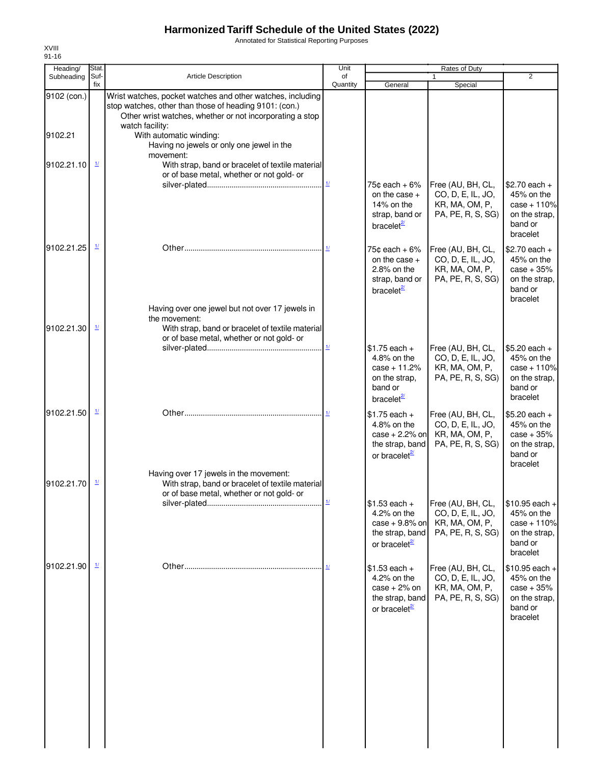Annotated for Statistical Reporting Purposes

| Heading/    | Stat.                                 |                                                                                                                                                                                                     | Unit           |                                                                                                         | Rates of Duty                                                                 |                                                                                        |
|-------------|---------------------------------------|-----------------------------------------------------------------------------------------------------------------------------------------------------------------------------------------------------|----------------|---------------------------------------------------------------------------------------------------------|-------------------------------------------------------------------------------|----------------------------------------------------------------------------------------|
| Subheading  | Suf-<br>fix                           | Article Description                                                                                                                                                                                 | of<br>Quantity | General                                                                                                 | Special                                                                       | $\overline{2}$                                                                         |
| 9102 (con.) |                                       | Wrist watches, pocket watches and other watches, including<br>stop watches, other than those of heading 9101: (con.)<br>Other wrist watches, whether or not incorporating a stop<br>watch facility: |                |                                                                                                         |                                                                               |                                                                                        |
| 9102.21     |                                       | With automatic winding:<br>Having no jewels or only one jewel in the<br>movement:                                                                                                                   |                |                                                                                                         |                                                                               |                                                                                        |
| 9102.21.10  | $\frac{1}{2}$                         | With strap, band or bracelet of textile material<br>or of base metal, whether or not gold- or                                                                                                       | 1/             | 75 $\texttt{c}$ each + 6%                                                                               | Free (AU, BH, CL,                                                             | $$2.70$ each +                                                                         |
|             |                                       |                                                                                                                                                                                                     |                | on the case +<br>14% on the<br>strap, band or<br>bracelet <sup>2/</sup>                                 | CO, D, E, IL, JO,<br>KR, MA, OM, P,<br>PA, PE, R, S, SG)                      | 45% on the<br>$case + 110%$<br>on the strap,<br>band or<br>bracelet                    |
| 9102.21.25  | $\mathbf{\underline{1}}$              |                                                                                                                                                                                                     |                | 75 $\texttt{c}$ each + 6%<br>on the case $+$<br>2.8% on the<br>strap, band or<br>bracelet <sup>2/</sup> | Free (AU, BH, CL,<br>CO, D, E, IL, JO,<br>KR, MA, OM, P,<br>PA, PE, R, S, SG) | $$2.70$ each +<br>45% on the<br>$case + 35%$<br>on the strap,<br>band or<br>bracelet   |
| 9102.21.30  | $\mathbf{\underline{1}}$              | Having over one jewel but not over 17 jewels in<br>the movement:<br>With strap, band or bracelet of textile material                                                                                |                |                                                                                                         |                                                                               |                                                                                        |
|             |                                       | or of base metal, whether or not gold- or                                                                                                                                                           |                | $$1.75$ each +<br>4.8% on the<br>$case + 11.2%$<br>on the strap,<br>band or<br>bracelet $\frac{2}{3}$   | Free (AU, BH, CL,<br>CO, D, E, IL, JO,<br>KR, MA, OM, P,<br>PA, PE, R, S, SG) | $$5.20$ each +<br>45% on the<br>$case + 110%$<br>on the strap,<br>band or<br>bracelet  |
| 9102.21.50  | $\frac{1}{2}$                         |                                                                                                                                                                                                     |                | $$1.75$ each +<br>4.8% on the<br>$case + 2.2%$ on<br>the strap, band<br>or bracelet <sup>21</sup>       | Free (AU, BH, CL,<br>CO, D, E, IL, JO,<br>KR, MA, OM, P,<br>PA, PE, R, S, SG) | $$5.20$ each +<br>45% on the<br>$case + 35%$<br>on the strap,<br>band or<br>bracelet   |
| 9102.21.70  | $\mathbf{\underline{1}\underline{1}}$ | Having over 17 jewels in the movement:<br>With strap, band or bracelet of textile material<br>or of base metal, whether or not gold- or                                                             |                |                                                                                                         |                                                                               |                                                                                        |
|             |                                       |                                                                                                                                                                                                     | 1/             | $$1.53$ each +<br>4.2% on the<br>$case + 9.8\%$ on<br>the strap, band<br>or bracelet <sup>21</sup>      | Free (AU, BH, CL,<br>CO, D, E, IL, JO,<br>KR, MA, OM, P,<br>PA, PE, R, S, SG) | $$10.95$ each +<br>45% on the<br>$case + 110%$<br>on the strap.<br>band or<br>bracelet |
| 9102.21.90  | $\mathbf{\underline{1}}$              |                                                                                                                                                                                                     |                | $$1.53$ each +<br>4.2% on the<br>$case + 2%$ on<br>the strap, band<br>or bracelet $\frac{2}{2}$         | Free (AU, BH, CL,<br>CO, D, E, IL, JO,<br>KR, MA, OM, P,<br>PA, PE, R, S, SG) | $$10.95$ each +<br>45% on the<br>$case + 35%$<br>on the strap,<br>band or<br>bracelet  |
|             |                                       |                                                                                                                                                                                                     |                |                                                                                                         |                                                                               |                                                                                        |
|             |                                       |                                                                                                                                                                                                     |                |                                                                                                         |                                                                               |                                                                                        |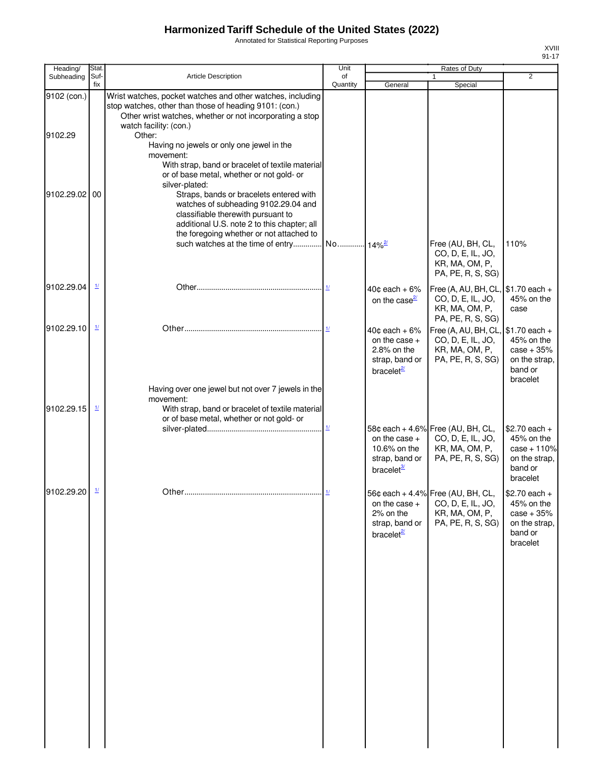Annotated for Statistical Reporting Purposes

| Heading/      | <b>Stat</b>                           |                                                                                                                                                                                      | Unit                      |                                                                                                    | Rates of Duty                                                                                           |                                                                                       |
|---------------|---------------------------------------|--------------------------------------------------------------------------------------------------------------------------------------------------------------------------------------|---------------------------|----------------------------------------------------------------------------------------------------|---------------------------------------------------------------------------------------------------------|---------------------------------------------------------------------------------------|
| Subheading    | Suf-                                  | <b>Article Description</b>                                                                                                                                                           | of                        |                                                                                                    | 1                                                                                                       | $\overline{2}$                                                                        |
| 9102 (con.)   | fix                                   | Wrist watches, pocket watches and other watches, including                                                                                                                           | Quantity                  | General                                                                                            | Special                                                                                                 |                                                                                       |
|               |                                       | stop watches, other than those of heading 9101: (con.)<br>Other wrist watches, whether or not incorporating a stop<br>watch facility: (con.)                                         |                           |                                                                                                    |                                                                                                         |                                                                                       |
| 9102.29       |                                       | Other:<br>Having no jewels or only one jewel in the<br>movement:<br>With strap, band or bracelet of textile material                                                                 |                           |                                                                                                    |                                                                                                         |                                                                                       |
| 9102.29.02 00 |                                       | or of base metal, whether or not gold- or<br>silver-plated:<br>Straps, bands or bracelets entered with<br>watches of subheading 9102.29.04 and<br>classifiable therewith pursuant to |                           |                                                                                                    |                                                                                                         |                                                                                       |
|               |                                       | additional U.S. note 2 to this chapter; all<br>the foregoing whether or not attached to                                                                                              |                           |                                                                                                    |                                                                                                         |                                                                                       |
|               |                                       |                                                                                                                                                                                      |                           |                                                                                                    | Free (AU, BH, CL,<br>CO, D, E, IL, JO,<br>KR, MA, OM, P,<br>PA, PE, R, S, SG)                           | 110%                                                                                  |
| 9102.29.04    | $\mathbf{\underline{1}\underline{1}}$ |                                                                                                                                                                                      |                           | $40¢$ each + 6%<br>on the case $\frac{2}{2}$                                                       | Free (A, AU, BH, CL, $\$\text{1.70}$ each +<br>CO, D, E, IL, JO,<br>KR, MA, OM, P,<br>PA, PE, R, S, SG) | 45% on the<br>case                                                                    |
| 9102.29.10    | $\mathbf{\underline{1}}$              |                                                                                                                                                                                      | 11                        | $40¢$ each + $6%$<br>on the case $+$<br>$2.8\%$ on the<br>strap, band or<br>bracelet <sup>27</sup> | Free (A, AU, BH, CL,<br>CO, D, E, IL, JO,<br>KR, MA, OM, P,<br>PA, PE, R, S, SG)                        | $$1.70$ each +<br>45% on the<br>$case + 35%$<br>on the strap,<br>band or<br>bracelet  |
| 9102.29.15    | $\underline{\mathit{1}\mathit{l}}$    | Having over one jewel but not over 7 jewels in the<br>movement:<br>With strap, band or bracelet of textile material<br>or of base metal, whether or not gold- or                     |                           |                                                                                                    |                                                                                                         |                                                                                       |
|               |                                       |                                                                                                                                                                                      | $\underline{\mathbf{1}l}$ | on the case $+$<br>10.6% on the<br>strap, band or<br>bracelet <sup>3/</sup>                        | 58¢ each + 4.6% Free (AU, BH, CL,<br>CO, D, E, IL, JO,<br>KR, MA, OM, P,<br>PA, PE, R, S, SG)           | $$2.70$ each +<br>45% on the<br>$case + 110%$<br>on the strap,<br>band or<br>bracelet |
| 9102.29.20 1/ |                                       |                                                                                                                                                                                      |                           | on the case $+$<br>2% on the<br>strap, band or<br>bracelet <sup>21</sup>                           | 56¢ each + 4.4% Free (AU, BH, CL,<br>CO, D, E, IL, JO,<br>KR, MA, OM, P,<br>PA, PE, R, S, SG)           | \$2.70 each +<br>45% on the<br>$case + 35%$<br>on the strap,<br>band or<br>bracelet   |
|               |                                       |                                                                                                                                                                                      |                           |                                                                                                    |                                                                                                         |                                                                                       |
|               |                                       |                                                                                                                                                                                      |                           |                                                                                                    |                                                                                                         |                                                                                       |
|               |                                       |                                                                                                                                                                                      |                           |                                                                                                    |                                                                                                         |                                                                                       |
|               |                                       |                                                                                                                                                                                      |                           |                                                                                                    |                                                                                                         |                                                                                       |
|               |                                       |                                                                                                                                                                                      |                           |                                                                                                    |                                                                                                         |                                                                                       |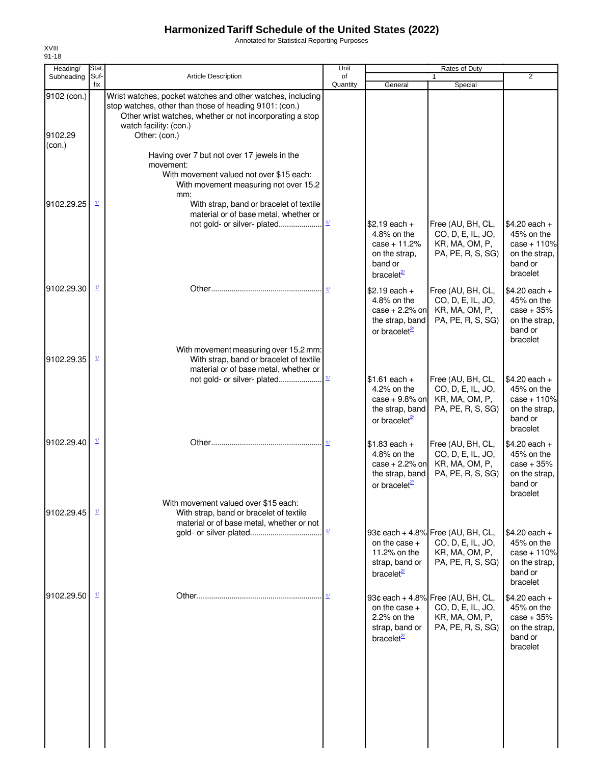Annotated for Statistical Reporting Purposes

| Heading/<br>Subheading | Stat.<br>Suf-            | <b>Article Description</b>                                                                                                                                                                                 | Unit<br>of                    |                                                                                                   | Rates of Duty<br>$\mathbf{1}$                                                                 | $\overline{2}$                                                                        |
|------------------------|--------------------------|------------------------------------------------------------------------------------------------------------------------------------------------------------------------------------------------------------|-------------------------------|---------------------------------------------------------------------------------------------------|-----------------------------------------------------------------------------------------------|---------------------------------------------------------------------------------------|
|                        | fix                      |                                                                                                                                                                                                            | Quantity                      | General                                                                                           | Special                                                                                       |                                                                                       |
| 9102 (con.)            |                          | Wrist watches, pocket watches and other watches, including<br>stop watches, other than those of heading 9101: (con.)<br>Other wrist watches, whether or not incorporating a stop<br>watch facility: (con.) |                               |                                                                                                   |                                                                                               |                                                                                       |
| 9102.29<br>(con.)      |                          | Other: (con.)                                                                                                                                                                                              |                               |                                                                                                   |                                                                                               |                                                                                       |
|                        |                          | Having over 7 but not over 17 jewels in the<br>movement:<br>With movement valued not over \$15 each:<br>With movement measuring not over 15.2<br>mm:                                                       |                               |                                                                                                   |                                                                                               |                                                                                       |
| 9102.29.25             | $\mathbf{\underline{1}}$ | With strap, band or bracelet of textile<br>material or of base metal, whether or<br>not gold- or silver- plated                                                                                            | $\underline{\mathcal{H}}$     | $$2.19$ each +<br>4.8% on the<br>$case + 11.2%$<br>on the strap,<br>band or                       | Free (AU, BH, CL,<br>CO, D, E, IL, JO,<br>KR, MA, OM, P,<br>PA, PE, R, S, SG)                 | $$4.20$ each +<br>45% on the<br>$case + 110%$<br>on the strap,<br>band or             |
| 9102.29.30             | $\mathbf{\underline{1}}$ |                                                                                                                                                                                                            |                               | bracelet <sup>2/</sup>                                                                            |                                                                                               | bracelet                                                                              |
|                        |                          |                                                                                                                                                                                                            |                               | $$2.19$ each +<br>4.8% on the<br>$case + 2.2%$ on<br>the strap, band<br>or bracelet $\frac{2}{2}$ | Free (AU, BH, CL,<br>CO, D, E, IL, JO,<br>KR, MA, OM, P,<br>PA, PE, R, S, SG)                 | \$4.20 each +<br>45% on the<br>$case + 35%$<br>on the strap,<br>band or<br>bracelet   |
| 9102.29.35             | $\mathbf{\underline{1}}$ | With movement measuring over 15.2 mm:<br>With strap, band or bracelet of textile<br>material or of base metal, whether or                                                                                  |                               |                                                                                                   |                                                                                               |                                                                                       |
|                        |                          |                                                                                                                                                                                                            |                               | $$1.61$ each +<br>4.2% on the<br>case $+9.8\%$ on<br>the strap, band<br>or bracelet <sup>21</sup> | Free (AU, BH, CL,<br>CO, D, E, IL, JO,<br>KR, MA, OM, P,<br>PA, PE, R, S, SG)                 | $$4.20$ each +<br>45% on the<br>$case + 110%$<br>on the strap,<br>band or<br>bracelet |
| 9102.29.40             | $\mathbf{\underline{1}}$ |                                                                                                                                                                                                            | 11                            | $$1.83$ each +<br>4.8% on the<br>$case + 2.2%$ on<br>the strap, band<br>or bracelet <sup>21</sup> | Free (AU, BH, CL,<br>CO, D, E, IL, JO,<br>KR, MA, OM, P,<br>PA, PE, R, S, SG)                 | $$4.20$ each +<br>45% on the<br>$case + 35%$<br>on the strap,<br>band or<br>bracelet  |
| 9102.29.45             | $\mathbf{\underline{1}}$ | With movement valued over \$15 each:<br>With strap, band or bracelet of textile<br>material or of base metal, whether or not                                                                               |                               |                                                                                                   |                                                                                               |                                                                                       |
|                        |                          |                                                                                                                                                                                                            | $\underline{1} \underline{I}$ | on the case $+$<br>11.2% on the<br>strap, band or<br>bracelet $^{27}$                             | 93¢ each + 4.8% Free (AU, BH, CL,<br>CO, D, E, IL, JO,<br>KR, MA, OM, P,<br>PA, PE, R, S, SG) | $$4.20$ each +<br>45% on the<br>$case + 110%$<br>on the strap,<br>band or<br>bracelet |
| 9102.29.50             | $\frac{1}{2}$            |                                                                                                                                                                                                            |                               | on the case +<br>2.2% on the<br>strap, band or<br>bracelet <sup>2</sup>                           | 93¢ each + 4.8% Free (AU, BH, CL,<br>CO, D, E, IL, JO,<br>KR, MA, OM, P,<br>PA, PE, R, S, SG) | \$4.20 each +<br>45% on the<br>$case + 35%$<br>on the strap,<br>band or<br>bracelet   |
|                        |                          |                                                                                                                                                                                                            |                               |                                                                                                   |                                                                                               |                                                                                       |
|                        |                          |                                                                                                                                                                                                            |                               |                                                                                                   |                                                                                               |                                                                                       |
|                        |                          |                                                                                                                                                                                                            |                               |                                                                                                   |                                                                                               |                                                                                       |

XVIII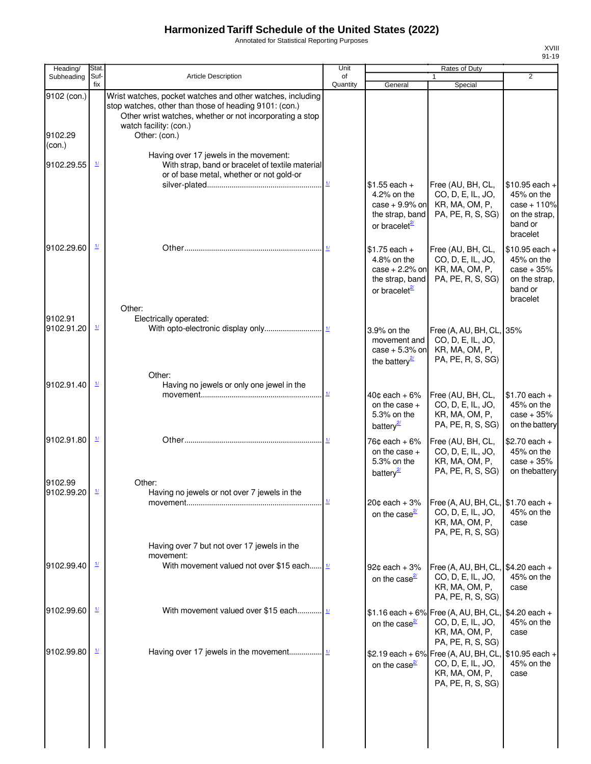Annotated for Statistical Reporting Purposes

| Heading/               | Stat.                                       |                                                                                                                                                                                                                             | Unit                      |                                                                                                   | Rates of Duty                                                                                                   |                                                                                       |
|------------------------|---------------------------------------------|-----------------------------------------------------------------------------------------------------------------------------------------------------------------------------------------------------------------------------|---------------------------|---------------------------------------------------------------------------------------------------|-----------------------------------------------------------------------------------------------------------------|---------------------------------------------------------------------------------------|
| Subheading             | Suf-<br>fix                                 | Article Description                                                                                                                                                                                                         | of<br>Quantity            | General                                                                                           | 1<br>Special                                                                                                    | $\overline{2}$                                                                        |
| 9102 (con.)<br>9102.29 |                                             | Wrist watches, pocket watches and other watches, including<br>stop watches, other than those of heading 9101: (con.)<br>Other wrist watches, whether or not incorporating a stop<br>watch facility: (con.)<br>Other: (con.) |                           |                                                                                                   |                                                                                                                 |                                                                                       |
| (con.)                 |                                             | Having over 17 jewels in the movement:                                                                                                                                                                                      |                           |                                                                                                   |                                                                                                                 |                                                                                       |
| 9102.29.55             | $\mathbf{\underline{1}}$                    | With strap, band or bracelet of textile material<br>or of base metal, whether or not gold-or                                                                                                                                | $\underline{\mathbf{1}l}$ | $$1.55$ each +                                                                                    | Free (AU, BH, CL,                                                                                               | $$10.95$ each +                                                                       |
|                        |                                             |                                                                                                                                                                                                                             |                           | 4.2% on the<br>case $+9.9\%$ on<br>the strap, band<br>or bracelet <sup>27</sup>                   | CO, D, E, IL, JO,<br>KR, MA, OM, P,<br>PA, PE, R, S, SG)                                                        | 45% on the<br>$case + 110%$<br>on the strap,<br>band or<br>bracelet                   |
| 9102.29.60             | $\mathbf{\underline{1}\underline{1}}$       |                                                                                                                                                                                                                             |                           | $$1.75$ each +<br>4.8% on the<br>$case + 2.2%$ on<br>the strap, band<br>or bracelet <sup>27</sup> | Free (AU, BH, CL,<br>CO, D, E, IL, JO,<br>KR, MA, OM, P,<br>PA, PE, R, S, SG)                                   | $$10.95$ each +<br>45% on the<br>$case + 35%$<br>on the strap,<br>band or<br>bracelet |
| 9102.91<br>9102.91.20  | $\frac{1}{2}$                               | Other:<br>Electrically operated:                                                                                                                                                                                            |                           | 3.9% on the<br>movement and<br>case $+5.3\%$ on<br>the battery $\frac{2}{3}$                      | Free (A, AU, BH, CL, 35%<br>CO, D, E, IL, JO,<br>KR, MA, OM, P,<br>PA, PE, R, S, SG)                            |                                                                                       |
| 9102.91.40             | $\frac{1}{2}$                               | Other:<br>Having no jewels or only one jewel in the                                                                                                                                                                         | $\frac{1}{2}$             | $40¢$ each + 6%<br>on the case $+$<br>5.3% on the                                                 | Free (AU, BH, CL,<br>CO, D, E, IL, JO,<br>KR, MA, OM, P,                                                        | $$1.70$ each +<br>45% on the<br>$case + 35%$                                          |
| 9102.91.80             | $\frac{1}{2}$                               |                                                                                                                                                                                                                             |                           | battery <sup>2</sup><br>76¢ each + 6%<br>on the case $+$<br>5.3% on the<br>battery <sup>2</sup>   | PA, PE, R, S, SG)<br>Free (AU, BH, CL,<br>CO, D, E, IL, JO,<br>KR, MA, OM, P,<br>PA, PE, R, S, SG)              | on the battery<br>$$2.70$ each +<br>45% on the<br>$case + 35%$<br>on thebattery       |
| 9102.99<br>9102.99.20  | $\frac{1}{2}$                               | Other:<br>Having no jewels or not over 7 jewels in the                                                                                                                                                                      |                           | $20¢$ each + $3%$                                                                                 | Free (A, AU, BH, CL, \$1.70 each +                                                                              |                                                                                       |
|                        |                                             |                                                                                                                                                                                                                             |                           | on the case $\frac{2}{2}$                                                                         | CO, D, E, IL, JO,<br>KR, MA, OM, P,<br>PA, PE, R, S, SG)                                                        | 45% on the<br>case                                                                    |
|                        |                                             | Having over 7 but not over 17 jewels in the<br>movement:                                                                                                                                                                    |                           |                                                                                                   |                                                                                                                 |                                                                                       |
| 9102.99.40             | $\mathbf{\underline{\mathit{1}}\mathit{1}}$ | With movement valued not over \$15 each $\frac{1}{2}$                                                                                                                                                                       |                           | $92¢$ each + $3%$<br>on the case $\frac{2}{3}$                                                    | Free (A, AU, BH, CL, \$4.20 each +<br>CO, D, E, IL, JO,<br>KR, MA, OM, P,<br>PA, PE, R, S, SG)                  | 45% on the<br>case                                                                    |
| 9102.99.60             | $\mathbf{\underline{1}}$                    | With movement valued over \$15 each $\frac{1}{1}$                                                                                                                                                                           |                           | on the case $\frac{2}{2}$                                                                         | \$1.16 each + 6% Free (A, AU, BH, CL, \$4.20 each +<br>CO, D, E, IL, JO,<br>KR, MA, OM, P,<br>PA, PE, R, S, SG) | 45% on the<br>case                                                                    |
| 9102.99.80             | $\frac{1}{2}$                               |                                                                                                                                                                                                                             |                           | on the case $\frac{2l}{2}$                                                                        | \$2.19 each + 6% Free (A, AU, BH, CL,<br>CO, D, E, IL, JO,<br>KR, MA, OM, P,<br>PA, PE, R, S, SG)               | $$10.95$ each +<br>45% on the<br>case                                                 |
|                        |                                             |                                                                                                                                                                                                                             |                           |                                                                                                   |                                                                                                                 |                                                                                       |
|                        |                                             |                                                                                                                                                                                                                             |                           |                                                                                                   |                                                                                                                 |                                                                                       |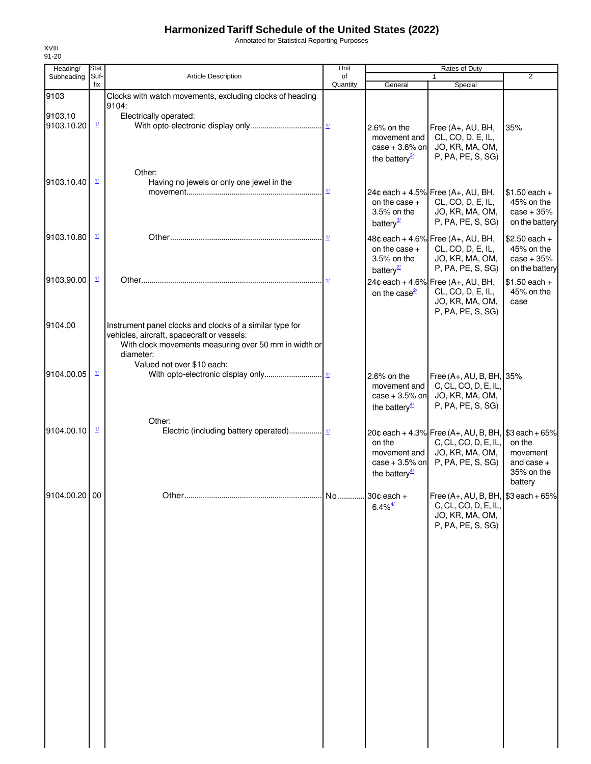Annotated for Statistical Reporting Purposes

| Heading/              | Stat.                    |                                                                                                                                                                              | Unit                               |                                                                                  | Rates of Duty                                                                                                       |                                                                |
|-----------------------|--------------------------|------------------------------------------------------------------------------------------------------------------------------------------------------------------------------|------------------------------------|----------------------------------------------------------------------------------|---------------------------------------------------------------------------------------------------------------------|----------------------------------------------------------------|
| Subheading            | Suf-<br>fix              | Article Description                                                                                                                                                          | of<br>Quantity                     | General                                                                          | 1<br>Special                                                                                                        | $\overline{2}$                                                 |
| 9103                  |                          | Clocks with watch movements, excluding clocks of heading                                                                                                                     |                                    |                                                                                  |                                                                                                                     |                                                                |
|                       |                          | 9104:                                                                                                                                                                        |                                    |                                                                                  |                                                                                                                     |                                                                |
| 9103.10<br>9103.10.20 | $\mathbf{\underline{1}}$ | Electrically operated:                                                                                                                                                       |                                    | $2.6\%$ on the<br>movement and<br>$case + 3.6\%$ on<br>the battery $\frac{3}{2}$ | Free (A+, AU, BH,<br>CL, CO, D, E, IL,<br>JO, KR, MA, OM,<br>P, PA, PE, S, SG)                                      | 35%                                                            |
| 9103.10.40            | $\mathbf{\underline{1}}$ | Other:<br>Having no jewels or only one jewel in the                                                                                                                          |                                    |                                                                                  |                                                                                                                     |                                                                |
|                       |                          |                                                                                                                                                                              | $\underline{\mathbf{1}\mathbf{1}}$ | on the case $+$<br>3.5% on the<br>battery <sup>3/</sup>                          | 24¢ each + 4.5% Free $(A_{+}, AU, BH,$<br>CL, CO, D, E, IL,<br>JO, KR, MA, OM,<br>P, PA, PE, S, SG)                 | $$1.50$ each +<br>45% on the<br>$case + 35%$<br>on the battery |
| 9103.10.80            | $\mathbf{\underline{1}}$ |                                                                                                                                                                              | 11                                 | on the case $+$<br>3.5% on the<br>battery <sup>2</sup>                           | 48¢ each + 4.6% Free (A+, AU, BH,<br>CL, CO, D, E, IL,<br>JO, KR, MA, OM,<br>P, PA, PE, S, SG)                      | $$2.50$ each +<br>45% on the<br>$case + 35%$<br>on the battery |
| 9103.90.00            | $\frac{1}{2}$            |                                                                                                                                                                              |                                    | on the case $\frac{2}{2}$                                                        | 24¢ each + 4.6% Free (A+, AU, BH,<br>CL, CO, D, E, IL,<br>JO, KR, MA, OM,<br>P, PA, PE, S, SG)                      | $$1.50$ each +<br>45% on the<br>case                           |
| 9104.00               |                          | Instrument panel clocks and clocks of a similar type for<br>vehicles, aircraft, spacecraft or vessels:<br>With clock movements measuring over 50 mm in width or<br>diameter: |                                    |                                                                                  |                                                                                                                     |                                                                |
| 9104.00.05            | $\frac{1}{2}$            | Valued not over \$10 each:                                                                                                                                                   |                                    | 2.6% on the<br>movement and<br>case $+3.5%$ on<br>the battery $\frac{4}{3}$      | Free (A+, AU, B, BH, 35%<br>C, CL, CO, D, E, IL<br>JO, KR, MA, OM,<br>P, PA, PE, S, SG)                             |                                                                |
| 9104.00.10            | $\frac{1}{2}$            | Other:                                                                                                                                                                       |                                    | on the<br>movement and<br>$case + 3.5%$ on<br>the battery $\frac{4}{3}$          | 20¢ each + 4.3% Free (A+, AU, B, BH, \$3 each + 65%<br>C, CL, CO, D, E, IL,<br>JO, KR, MA, OM,<br>P, PA, PE, S, SG) | on the<br>movement<br>and case $+$<br>35% on the<br>battery    |
| 9104.00.20 00         |                          |                                                                                                                                                                              |                                    | $6.4\%$ <sup><math>\frac{4}{1}</math></sup>                                      | Free $(A_+, AU, B, BH,$ \$3 each + 65%<br>C, CL, CO, D, E, IL,<br>JO, KR, MA, OM,<br>P, PA, PE, S, SG)              |                                                                |
|                       |                          |                                                                                                                                                                              |                                    |                                                                                  |                                                                                                                     |                                                                |
|                       |                          |                                                                                                                                                                              |                                    |                                                                                  |                                                                                                                     |                                                                |
|                       |                          |                                                                                                                                                                              |                                    |                                                                                  |                                                                                                                     |                                                                |
|                       |                          |                                                                                                                                                                              |                                    |                                                                                  |                                                                                                                     |                                                                |
|                       |                          |                                                                                                                                                                              |                                    |                                                                                  |                                                                                                                     |                                                                |
|                       |                          |                                                                                                                                                                              |                                    |                                                                                  |                                                                                                                     |                                                                |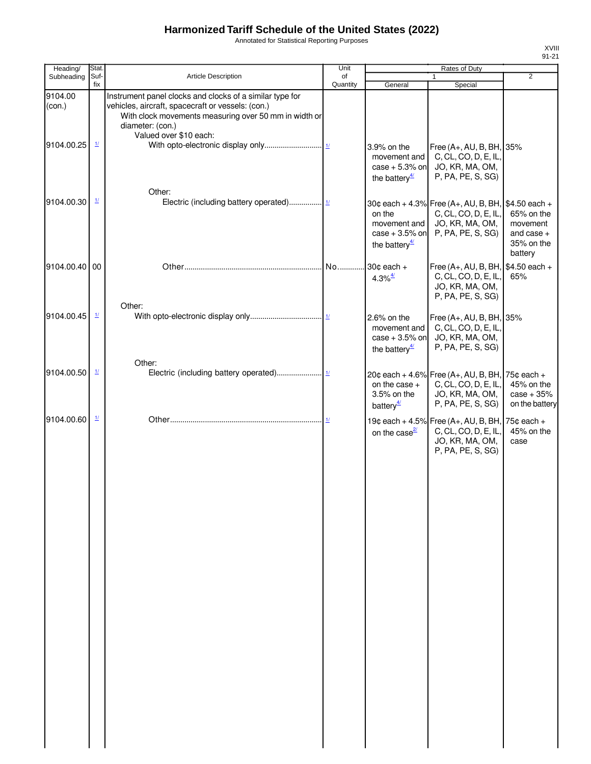Annotated for Statistical Reporting Purposes

| Heading/                        | Stat.                    |                                                                                                                                                                                                                      | Unit           | Rates of Duty                                                                            |                                                                                                                    |                                                                 |  |
|---------------------------------|--------------------------|----------------------------------------------------------------------------------------------------------------------------------------------------------------------------------------------------------------------|----------------|------------------------------------------------------------------------------------------|--------------------------------------------------------------------------------------------------------------------|-----------------------------------------------------------------|--|
| Subheading                      | Suf-<br>fix              | <b>Article Description</b>                                                                                                                                                                                           | of<br>Quantity | General                                                                                  | $\mathbf{1}$<br>Special                                                                                            | $\overline{2}$                                                  |  |
| 9104.00<br>(con.)<br>9104.00.25 | $\frac{1}{2}$            | Instrument panel clocks and clocks of a similar type for<br>vehicles, aircraft, spacecraft or vessels: (con.)<br>With clock movements measuring over 50 mm in width or<br>diameter: (con.)<br>Valued over \$10 each: |                | 3.9% on the<br>movement and<br>$case + 5.3%$ on<br>the battery $\frac{4}{3}$             | Free (A+, AU, B, BH, 35%<br>C, CL, CO, D, E, IL,<br>JO, KR, MA, OM,<br>P, PA, PE, S, SG)                           |                                                                 |  |
| 9104.00.30                      | $\frac{1}{2}$            | Other:                                                                                                                                                                                                               |                | on the<br>movement and<br>$case + 3.5%$ on<br>the battery $\frac{4}{3}$                  | 30¢ each + 4.3% Free (A+, AU, B, BH, \$4.50 each +<br>C, CL, CO, D, E, IL,<br>JO, KR, MA, OM,<br>P, PA, PE, S, SG) | 65% on the<br>movement<br>and case $+$<br>35% on the<br>battery |  |
| 9104.00.40 00                   |                          | Other:                                                                                                                                                                                                               | No             | 30¢ each +<br>$4.3\%$ <sup><math>4/</math></sup>                                         | Free (A+, AU, B, BH, \$4.50 each +<br>C, CL, CO, D, E, IL,<br>JO, KR, MA, OM,<br>P, PA, PE, S, SG)                 | 65%                                                             |  |
| 9104.00.45                      | $\mathbf{\underline{1}}$ |                                                                                                                                                                                                                      |                | 2.6% on the<br>movement and<br>case $+3.5%$ on<br>the battery <sup><math>4/</math></sup> | Free $(A+, AU, B, BH, 35%$<br>C, CL, CO, D, E, IL,<br>JO, KR, MA, OM,<br>P, PA, PE, S, SG)                         |                                                                 |  |
| 9104.00.50                      | $\frac{1}{2}$            | Other:                                                                                                                                                                                                               |                | on the case $+$<br>3.5% on the<br>battery $\frac{4}{3}$                                  | 20¢ each + 4.6% Free (A+, AU, B, BH, 75¢ each +<br>C, CL, CO, D, E, IL,<br>JO, KR, MA, OM,<br>P, PA, PE, S, SG)    | 45% on the<br>$case + 35%$<br>on the battery                    |  |
| 9104.00.60                      | $\mathbf{\underline{1}}$ |                                                                                                                                                                                                                      | 11             | on the case $\frac{2}{2}$                                                                | 19¢ each + 4.5% Free (A+, AU, B, BH, 75¢ each +<br>C, CL, CO, D, E, IL,<br>JO, KR, MA, OM,<br>P, PA, PE, S, SG)    | 45% on the<br>case                                              |  |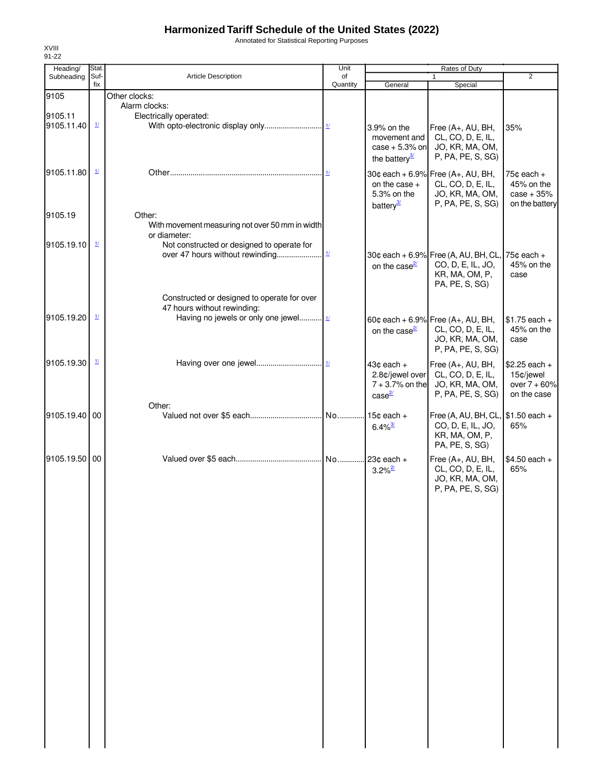Annotated for Statistical Reporting Purposes

| Heading/      | Stat.                    |                                                 | Unit                      |                                      | Rates of Duty                          |                             |
|---------------|--------------------------|-------------------------------------------------|---------------------------|--------------------------------------|----------------------------------------|-----------------------------|
| Subheading    | Suf-<br>fix              | Article Description                             | of<br>Quantity            | General                              | $\mathbf{1}$<br>Special                | $\overline{2}$              |
| 9105          |                          | Other clocks:                                   |                           |                                      |                                        |                             |
|               |                          | Alarm clocks:                                   |                           |                                      |                                        |                             |
| 9105.11       |                          | Electrically operated:                          |                           |                                      |                                        |                             |
| 9105.11.40    | $\frac{1}{2}$            |                                                 |                           | 3.9% on the                          | Free (A+, AU, BH,                      | 35%                         |
|               |                          |                                                 |                           | movement and                         | CL, CO, D, E, IL,                      |                             |
|               |                          |                                                 |                           | case $+5.3\%$ on                     | JO, KR, MA, OM,                        |                             |
|               |                          |                                                 |                           | the battery $\frac{3}{2}$            | P, PA, PE, S, SG)                      |                             |
| 9105.11.80    | $\frac{1}{2}$            |                                                 |                           |                                      |                                        |                             |
|               |                          |                                                 |                           | on the case $+$                      | 30¢ each + 6.9% Free (A+, AU, BH,      | $75¢$ each $+$              |
|               |                          |                                                 |                           | 5.3% on the                          | CL, CO, D, E, IL,<br>JO, KR, MA, OM,   | 45% on the<br>$case + 35%$  |
|               |                          |                                                 |                           | battery <sup>3/</sup>                | P, PA, PE, S, SG)                      | on the battery              |
| 9105.19       |                          | Other:                                          |                           |                                      |                                        |                             |
|               |                          | With movement measuring not over 50 mm in width |                           |                                      |                                        |                             |
|               |                          | or diameter:                                    |                           |                                      |                                        |                             |
| 9105.19.10    | $\mathbf{\underline{1}}$ | Not constructed or designed to operate for      |                           |                                      |                                        |                             |
|               |                          | over 47 hours without rewinding                 | $\underline{\mathcal{H}}$ |                                      | 30¢ each + 6.9% Free (A, AU, BH, CL,   | $75¢$ each $+$              |
|               |                          |                                                 |                           | on the case $\frac{2l}{2}$           | CO, D, E, IL, JO,                      | 45% on the                  |
|               |                          |                                                 |                           |                                      | KR, MA, OM, P,                         | case                        |
|               |                          |                                                 |                           |                                      | PA, PE, S, SG)                         |                             |
|               |                          | Constructed or designed to operate for over     |                           |                                      |                                        |                             |
|               |                          | 47 hours without rewinding:                     |                           |                                      |                                        |                             |
| 9105.19.20    | $\mathbf{\underline{1}}$ | Having no jewels or only one jewel              |                           |                                      | 60¢ each + 6.9% Free (A+, AU, BH,      | $$1.75$ each +              |
|               |                          |                                                 |                           | on the case $\frac{2}{3}$            | CL, CO, D, E, IL,                      | 45% on the                  |
|               |                          |                                                 |                           |                                      | JO, KR, MA, OM,                        | case                        |
|               |                          |                                                 |                           |                                      | P, PA, PE, S, SG)                      |                             |
| 9105.19.30    | $\mathbf{\underline{1}}$ |                                                 |                           |                                      |                                        |                             |
|               |                          |                                                 |                           | $43¢$ each $+$                       | Free (A+, AU, BH,                      | $$2.25$ each +              |
|               |                          |                                                 |                           | 2.8¢/jewel over<br>$7 + 3.7%$ on the | CL, CO, D, E, IL,                      | 15¢/jewel<br>over $7 + 60%$ |
|               |                          |                                                 |                           |                                      | JO, KR, MA, OM,<br>P, PA, PE, S, SG)   | on the case                 |
|               |                          | Other:                                          |                           | case <sup>2/</sup>                   |                                        |                             |
| 9105.19.40 00 |                          |                                                 | No                        | $15¢$ each +                         | Free (A, AU, BH, CL, \$1.50 each +     |                             |
|               |                          |                                                 |                           | $6.4\%$ <sup>3/</sup>                | CO, D, E, IL, JO,                      | 65%                         |
|               |                          |                                                 |                           |                                      | KR, MA, OM, P,                         |                             |
|               |                          |                                                 |                           |                                      | PA, PE, S, SG)                         |                             |
| 9105.19.50 00 |                          |                                                 |                           |                                      |                                        | $$4.50$ each +              |
|               |                          |                                                 |                           | $3.2\%$ <sup>2/</sup>                | Free (A+, AU, BH,<br>CL, CO, D, E, IL, | 65%                         |
|               |                          |                                                 |                           |                                      | JO, KR, MA, OM,                        |                             |
|               |                          |                                                 |                           |                                      | P, PA, PE, S, SG)                      |                             |
|               |                          |                                                 |                           |                                      |                                        |                             |
|               |                          |                                                 |                           |                                      |                                        |                             |
|               |                          |                                                 |                           |                                      |                                        |                             |
|               |                          |                                                 |                           |                                      |                                        |                             |
|               |                          |                                                 |                           |                                      |                                        |                             |
|               |                          |                                                 |                           |                                      |                                        |                             |
|               |                          |                                                 |                           |                                      |                                        |                             |
|               |                          |                                                 |                           |                                      |                                        |                             |
|               |                          |                                                 |                           |                                      |                                        |                             |
|               |                          |                                                 |                           |                                      |                                        |                             |
|               |                          |                                                 |                           |                                      |                                        |                             |
|               |                          |                                                 |                           |                                      |                                        |                             |
|               |                          |                                                 |                           |                                      |                                        |                             |
|               |                          |                                                 |                           |                                      |                                        |                             |
|               |                          |                                                 |                           |                                      |                                        |                             |
|               |                          |                                                 |                           |                                      |                                        |                             |
|               |                          |                                                 |                           |                                      |                                        |                             |
|               |                          |                                                 |                           |                                      |                                        |                             |
|               |                          |                                                 |                           |                                      |                                        |                             |
|               |                          |                                                 |                           |                                      |                                        |                             |
|               |                          |                                                 |                           |                                      |                                        |                             |
|               |                          |                                                 |                           |                                      |                                        |                             |
|               |                          |                                                 |                           |                                      |                                        |                             |
|               |                          |                                                 |                           |                                      |                                        |                             |
|               |                          |                                                 |                           |                                      |                                        |                             |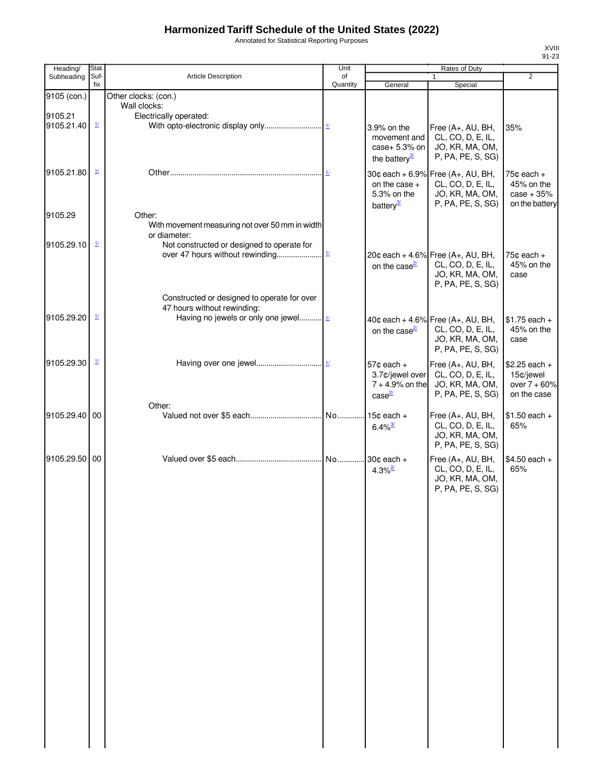Annotated for Statistical Reporting Purposes

| Heading/      | Stat.                     |                                                                                                                     | Unit           |                                                                           | Rates of Duty                                                                                       |                                                                |
|---------------|---------------------------|---------------------------------------------------------------------------------------------------------------------|----------------|---------------------------------------------------------------------------|-----------------------------------------------------------------------------------------------------|----------------------------------------------------------------|
| Subheading    | Suf-<br>fix               | <b>Article Description</b>                                                                                          | of<br>Quantity | General                                                                   | Special                                                                                             | $\overline{2}$                                                 |
| 9105 (con.)   |                           | Other clocks: (con.)                                                                                                |                |                                                                           |                                                                                                     |                                                                |
| 9105.21       |                           | Wall clocks:                                                                                                        |                |                                                                           |                                                                                                     |                                                                |
| 9105.21.40    | $\mathbf{\underline{11}}$ | Electrically operated:                                                                                              |                | 3.9% on the<br>movement and<br>case+ 5.3% on<br>the battery $\frac{3}{2}$ | Free (A+, AU, BH,<br>CL, CO, D, E, IL,<br>JO, KR, MA, OM,<br>P, PA, PE, S, SG)                      | 35%                                                            |
| 9105.21.80    | $\frac{1}{2}$             |                                                                                                                     |                | on the case $+$<br>5.3% on the<br>battery <sup>3/</sup>                   | 30¢ each + 6.9% Free (A+, AU, BH,<br>CL, CO, D, E, IL,<br>JO, KR, MA, OM,<br>P, PA, PE, S, SG)      | $75¢$ each $+$<br>45% on the<br>$case + 35%$<br>on the battery |
| 9105.29       |                           | Other:<br>With movement measuring not over 50 mm in width<br>or diameter:                                           |                |                                                                           |                                                                                                     |                                                                |
| 9105.29.10    | $\mathbf{\underline{1}}$  | Not constructed or designed to operate for<br>over 47 hours without rewinding                                       | $\frac{1}{l}$  | on the case $\frac{2}{2}$                                                 | 20¢ each + 4.6% Free $(A_{+}, AU, BH,$<br>CL, CO, D, E, IL,<br>JO, KR, MA, OM,<br>P, PA, PE, S, SG) | $75¢$ each +<br>45% on the<br>case                             |
| 9105.29.20    | $\mathbf{\underline{1}}$  | Constructed or designed to operate for over<br>47 hours without rewinding:<br>Having no jewels or only one jewel 1/ |                | on the case $\frac{2}{3}$                                                 | 40¢ each + 4.6% Free $(A_{+}, AU, BH,$<br>CL, CO, D, E, IL,<br>JO, KR, MA, OM,<br>P, PA, PE, S, SG) | $$1.75$ each +<br>45% on the<br>case                           |
| 9105.29.30    | $\frac{1}{2}$             |                                                                                                                     |                | $57¢$ each +<br>3.7¢/jewel over<br>$7 + 4.9%$ on the<br>$case^2$          | Free (A+, AU, BH,<br>CL, CO, D, E, IL,<br>JO, KR, MA, OM,<br>P, PA, PE, S, SG)                      | $$2.25$ each +<br>15¢/jewel<br>over $7 + 60%$<br>on the case   |
|               |                           | Other:                                                                                                              |                |                                                                           |                                                                                                     |                                                                |
| 9105.29.40 00 |                           |                                                                                                                     |                | $6.4\%$ <sup>3/</sup>                                                     | Free (A+, AU, BH,<br>CL, CO, D, E, IL,<br>JO, KR, MA, OM,<br>P, PA, PE, S, SG)                      | $$1.50$ each +<br>65%                                          |
| 9105.29.50 00 |                           |                                                                                                                     |                | $4.3\%$ <sup>2/</sup>                                                     | Free (A+, AU, BH,<br>CL, CO, D, E, IL,<br>JO, KR, MA, OM,<br>P, PA, PE, S, SG)                      | $$4.50$ each +<br>65%                                          |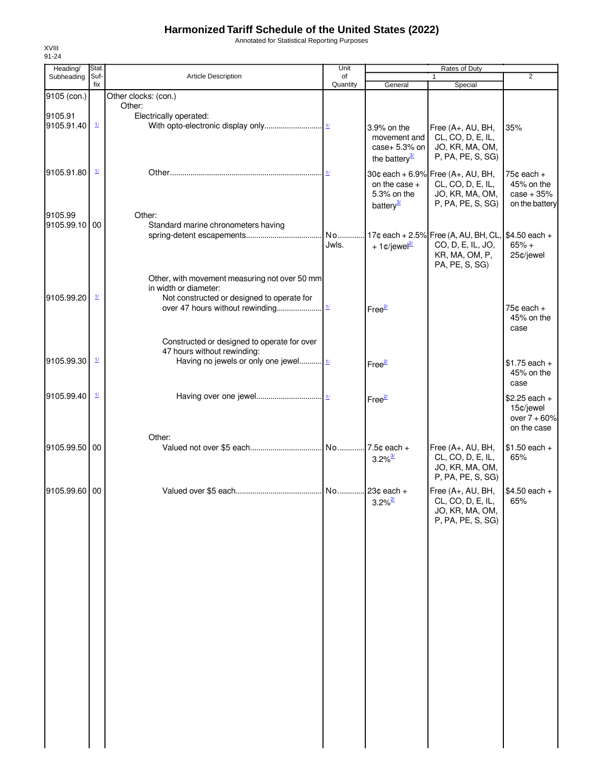Annotated for Statistical Reporting Purposes

| Heading/      | Stat.                    |                                               | Unit           |                           | Rates of Duty                                          |                              |
|---------------|--------------------------|-----------------------------------------------|----------------|---------------------------|--------------------------------------------------------|------------------------------|
| Subheading    | Suf-<br>fix              | <b>Article Description</b>                    | of<br>Quantity | General                   | 1<br>Special                                           | $\overline{2}$               |
| 9105 (con.)   |                          | Other clocks: (con.)                          |                |                           |                                                        |                              |
|               |                          | Other:                                        |                |                           |                                                        |                              |
| 9105.91       |                          | Electrically operated:                        |                |                           |                                                        |                              |
| 9105.91.40    | $\mathbf{\underline{1}}$ |                                               |                | 3.9% on the               | Free (A+, AU, BH,                                      | 35%                          |
|               |                          |                                               |                | movement and              | CL, CO, D, E, IL,                                      |                              |
|               |                          |                                               |                | case+ 5.3% on             | JO, KR, MA, OM,                                        |                              |
|               |                          |                                               |                | the battery $\frac{3}{2}$ | P, PA, PE, S, SG)                                      |                              |
| 9105.91.80    | $\mathbf{\underline{1}}$ |                                               |                |                           |                                                        |                              |
|               |                          |                                               |                | on the case +             | 30¢ each + 6.9% Free (A+, AU, BH,<br>CL, CO, D, E, IL, | $75¢$ each $+$<br>45% on the |
|               |                          |                                               |                | 5.3% on the               | JO, KR, MA, OM,                                        | $case + 35%$                 |
|               |                          |                                               |                | battery <sup>3/</sup>     | P, PA, PE, S, SG)                                      | on the battery               |
| 9105.99       |                          | Other:                                        |                |                           |                                                        |                              |
| 9105.99.10 00 |                          | Standard marine chronometers having           |                |                           |                                                        |                              |
|               |                          |                                               | No             |                           | 17¢ each + 2.5% Free (A, AU, BH, CL, \$4.50 each +     |                              |
|               |                          |                                               | Jwls.          | + 1¢/jewel <sup>2/</sup>  | CO, D, E, IL, JO,                                      | $65% +$                      |
|               |                          |                                               |                |                           | KR, MA, OM, P,                                         | 25¢/jewel                    |
|               |                          |                                               |                |                           | PA, PE, S, SG)                                         |                              |
|               |                          | Other, with movement measuring not over 50 mm |                |                           |                                                        |                              |
|               |                          | in width or diameter:                         |                |                           |                                                        |                              |
| 9105.99.20    | $\frac{1}{2}$            | Not constructed or designed to operate for    |                |                           |                                                        |                              |
|               |                          |                                               |                | Free $\frac{27}{2}$       |                                                        | 75 $c$ each $+$              |
|               |                          |                                               |                |                           |                                                        | 45% on the                   |
|               |                          |                                               |                |                           |                                                        | case                         |
|               |                          | Constructed or designed to operate for over   |                |                           |                                                        |                              |
|               |                          | 47 hours without rewinding:                   |                |                           |                                                        |                              |
| 9105.99.30    | $\mathbf{\underline{1}}$ | Having no jewels or only one jewel 11         |                | Free <sup>2/</sup>        |                                                        | $$1.75$ each +               |
|               |                          |                                               |                |                           |                                                        | 45% on the                   |
|               |                          |                                               |                |                           |                                                        | case                         |
| 9105.99.40    | $\frac{1}{2}$            |                                               |                | Free <sup>2/</sup>        |                                                        | $$2.25$ each +               |
|               |                          |                                               |                |                           |                                                        | 15¢/jewel                    |
|               |                          |                                               |                |                           |                                                        | over $7 + 60%$               |
|               |                          |                                               |                |                           |                                                        | on the case                  |
|               |                          | Other:                                        |                |                           |                                                        |                              |
| 9105.99.50 00 |                          |                                               |                |                           | Free (A+, AU, BH,                                      | $$1.50$ each +               |
|               |                          |                                               |                | $3.2\%$ <sup>3/</sup>     | CL, CO, D, E, IL,                                      | 65%                          |
|               |                          |                                               |                |                           | JO, KR, MA, OM,<br>P, PA, PE, S, SG)                   |                              |
|               |                          |                                               |                |                           |                                                        |                              |
| 9105.99.60 00 |                          |                                               |                |                           | Free (A+, AU, BH,                                      | $$4.50$ each +               |
|               |                          |                                               |                | $3.2\%$ <sup>2/</sup>     | CL, CO, D, E, IL,                                      | 65%                          |
|               |                          |                                               |                |                           | JO, KR, MA, OM,<br>P, PA, PE, S, SG)                   |                              |
|               |                          |                                               |                |                           |                                                        |                              |
|               |                          |                                               |                |                           |                                                        |                              |
|               |                          |                                               |                |                           |                                                        |                              |
|               |                          |                                               |                |                           |                                                        |                              |
|               |                          |                                               |                |                           |                                                        |                              |
|               |                          |                                               |                |                           |                                                        |                              |
|               |                          |                                               |                |                           |                                                        |                              |
|               |                          |                                               |                |                           |                                                        |                              |
|               |                          |                                               |                |                           |                                                        |                              |
|               |                          |                                               |                |                           |                                                        |                              |
|               |                          |                                               |                |                           |                                                        |                              |
|               |                          |                                               |                |                           |                                                        |                              |
|               |                          |                                               |                |                           |                                                        |                              |
|               |                          |                                               |                |                           |                                                        |                              |
|               |                          |                                               |                |                           |                                                        |                              |
|               |                          |                                               |                |                           |                                                        |                              |
|               |                          |                                               |                |                           |                                                        |                              |
|               |                          |                                               |                |                           |                                                        |                              |
|               |                          |                                               |                |                           |                                                        |                              |
|               |                          |                                               |                |                           |                                                        |                              |
|               |                          |                                               |                |                           |                                                        |                              |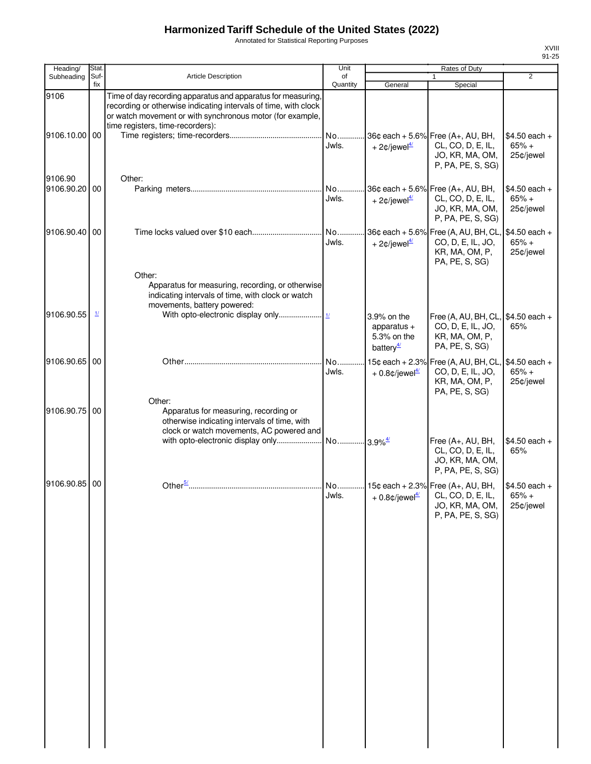Annotated for Statistical Reporting Purposes

| Heading/                 | Stat.                    |                                                                                                                                                                                                                                  | Unit           |                                                                      | Rates of Duty                                                                                     |                                        |
|--------------------------|--------------------------|----------------------------------------------------------------------------------------------------------------------------------------------------------------------------------------------------------------------------------|----------------|----------------------------------------------------------------------|---------------------------------------------------------------------------------------------------|----------------------------------------|
| Subheading               | Suf-<br>fix              | Article Description                                                                                                                                                                                                              | of<br>Quantity | General                                                              | $\mathbf{1}$<br>Special                                                                           | $\overline{2}$                         |
| 9106                     |                          | Time of day recording apparatus and apparatus for measuring,<br>recording or otherwise indicating intervals of time, with clock<br>or watch movement or with synchronous motor (for example,<br>time registers, time-recorders): |                |                                                                      |                                                                                                   |                                        |
| 9106.10.00 00            |                          |                                                                                                                                                                                                                                  | No<br>Jwls.    | + 2 $\phi$ /jewel <sup>4/</sup>                                      | 36¢ each + 5.6% Free (A+, AU, BH,<br>CL, CO, D, E, IL,<br>JO, KR, MA, OM,<br>P, PA, PE, S, SG)    | $$4.50$ each +<br>$65% +$<br>25¢/jewel |
| 9106.90<br>9106.90.20 00 |                          | Other:                                                                                                                                                                                                                           | No<br>Jwls.    | + 2 $\text{\degree}$ /jewel <sup>4/</sup>                            | 36¢ each + 5.6% Free (A+, AU, BH,<br>CL, CO, D, E, IL,<br>JO, KR, MA, OM,<br>P, PA, PE, S, SG)    | $$4.50$ each +<br>$65% +$<br>25¢/jewel |
| 9106.90.40 00            |                          |                                                                                                                                                                                                                                  | No<br>Jwls.    | + 2 $\phi$ /jewel <sup>4/</sup>                                      | 36¢ each + 5.6% Free (A, AU, BH, CL,<br>CO, D, E, IL, JO,<br>KR, MA, OM, P,<br>PA, PE, S, SG)     | \$4.50 each +<br>$65% +$<br>25¢/jewel  |
|                          | $\mathbf{\underline{1}}$ | Other:<br>Apparatus for measuring, recording, or otherwise<br>indicating intervals of time, with clock or watch<br>movements, battery powered:                                                                                   |                |                                                                      |                                                                                                   |                                        |
| 9106.90.55               |                          |                                                                                                                                                                                                                                  |                | 3.9% on the<br>apparatus $+$<br>5.3% on the<br>battery $\frac{4}{3}$ | Free (A, AU, BH, CL, \$4.50 each +<br>CO, D, E, IL, JO,<br>KR, MA, OM, P,<br>PA, PE, S, SG)       | 65%                                    |
| 9106.90.65 00            |                          |                                                                                                                                                                                                                                  | No<br>Jwls.    | 15¢ each + 2.3%<br>$+0.8$ ¢/jewel <sup>4/</sup>                      | Free (A, AU, BH, CL, \$4.50 each +<br>CO, D, E, IL, JO,<br>KR, MA, OM, P,<br>PA, PE, S, SG)       | $65% +$<br>25¢/jewel                   |
| 9106.90.75 00            |                          | Other:<br>Apparatus for measuring, recording or<br>otherwise indicating intervals of time, with<br>clock or watch movements, AC powered and                                                                                      |                |                                                                      | Free (A+, AU, BH,                                                                                 | $$4.50$ each +                         |
|                          |                          |                                                                                                                                                                                                                                  |                |                                                                      | CL, CO, D, E, IL,<br>JO, KR, MA, OM,<br>P, PA, PE, S, SG)                                         | 65%                                    |
| 9106.90.85 00            |                          |                                                                                                                                                                                                                                  | Jwls.          | $+0.8$ ¢/jewel $\frac{4}{3}$                                         | No 15¢ each + 2.3% Free (A+, AU, BH,<br>CL, CO, D, E, IL,<br>JO, KR, MA, OM,<br>P, PA, PE, S, SG) | $$4.50$ each +<br>$65% +$<br>25¢/jewel |
|                          |                          |                                                                                                                                                                                                                                  |                |                                                                      |                                                                                                   |                                        |
|                          |                          |                                                                                                                                                                                                                                  |                |                                                                      |                                                                                                   |                                        |
|                          |                          |                                                                                                                                                                                                                                  |                |                                                                      |                                                                                                   |                                        |
|                          |                          |                                                                                                                                                                                                                                  |                |                                                                      |                                                                                                   |                                        |
|                          |                          |                                                                                                                                                                                                                                  |                |                                                                      |                                                                                                   |                                        |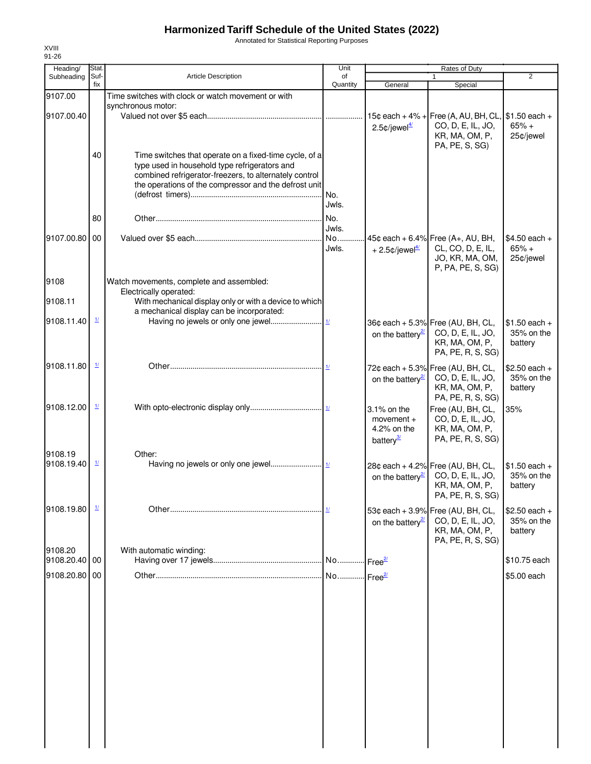Annotated for Statistical Reporting Purposes

| Heading/      | Stat.                    |                                                                                                     | Unit           |                              | Rates of Duty                                          |                              |
|---------------|--------------------------|-----------------------------------------------------------------------------------------------------|----------------|------------------------------|--------------------------------------------------------|------------------------------|
| Subheading    | Suf-<br>fix              | Article Description                                                                                 | of<br>Quantity | General                      | Special                                                | $\overline{2}$               |
| 9107.00       |                          | Time switches with clock or watch movement or with                                                  |                |                              |                                                        |                              |
|               |                          | synchronous motor:                                                                                  |                |                              |                                                        |                              |
| 9107.00.40    |                          |                                                                                                     |                | $15c$ each + $4%$ +          | Free (A, AU, BH, CL,                                   | $$1.50$ each +               |
|               |                          |                                                                                                     |                | $2.5$ ¢/jewel $\frac{47}{2}$ | CO, D, E, IL, JO,                                      | $65% +$                      |
|               |                          |                                                                                                     |                |                              | KR, MA, OM, P,                                         | 25¢/jewel                    |
|               | 40                       | Time switches that operate on a fixed-time cycle, of a                                              |                |                              | PA, PE, S, SG)                                         |                              |
|               |                          | type used in household type refrigerators and                                                       |                |                              |                                                        |                              |
|               |                          | combined refrigerator-freezers, to alternately control                                              |                |                              |                                                        |                              |
|               |                          | the operations of the compressor and the defrost unit                                               |                |                              |                                                        |                              |
|               |                          |                                                                                                     |                |                              |                                                        |                              |
|               |                          |                                                                                                     | Jwls.          |                              |                                                        |                              |
|               | 80                       |                                                                                                     |                |                              |                                                        |                              |
|               |                          |                                                                                                     | Jwls.          |                              |                                                        |                              |
| 9107.00.80 00 |                          |                                                                                                     |                |                              | 45¢ each + 6.4% Free $(A_{+}, AU, BH,$                 | $$4.50$ each +               |
|               |                          |                                                                                                     | Jwls.          | $+2.5$ ¢/jewel <sup>4/</sup> | CL, CO, D, E, IL,                                      | $65% +$                      |
|               |                          |                                                                                                     |                |                              | JO, KR, MA, OM,                                        | 25¢/jewel                    |
|               |                          |                                                                                                     |                |                              | P, PA, PE, S, SG)                                      |                              |
| 9108          |                          | Watch movements, complete and assembled:                                                            |                |                              |                                                        |                              |
|               |                          | Electrically operated:                                                                              |                |                              |                                                        |                              |
| 9108.11       |                          | With mechanical display only or with a device to which<br>a mechanical display can be incorporated: |                |                              |                                                        |                              |
| 9108.11.40    | $\mathbf{\underline{1}}$ |                                                                                                     |                |                              | 36¢ each + 5.3% Free (AU, BH, CL,                      | $$1.50$ each +               |
|               |                          |                                                                                                     |                |                              | CO, D, E, IL, JO,                                      | 35% on the                   |
|               |                          |                                                                                                     |                | on the battery <sup>27</sup> | KR, MA, OM, P,                                         | battery                      |
|               |                          |                                                                                                     |                |                              | PA, PE, R, S, SG)                                      |                              |
| 9108.11.80    | $\frac{1}{2}$            |                                                                                                     |                |                              |                                                        |                              |
|               |                          |                                                                                                     |                |                              | 72¢ each + 5.3% Free (AU, BH, CL,<br>CO, D, E, IL, JO, | $$2.50$ each +<br>35% on the |
|               |                          |                                                                                                     |                | on the battery <sup>21</sup> | KR, MA, OM, P,                                         | battery                      |
|               |                          |                                                                                                     |                |                              | PA, PE, R, S, SG)                                      |                              |
| 9108.12.00    | $\frac{1}{2}$            |                                                                                                     |                | 3.1% on the                  | Free (AU, BH, CL,                                      | 35%                          |
|               |                          |                                                                                                     |                | movement $+$                 | CO, D, E, IL, JO,                                      |                              |
|               |                          |                                                                                                     |                | 4.2% on the                  | KR, MA, OM, P,                                         |                              |
|               |                          |                                                                                                     |                | battery <sup>3/</sup>        | PA, PE, R, S, SG)                                      |                              |
| 9108.19       |                          | Other:                                                                                              |                |                              |                                                        |                              |
| 9108.19.40    | $\mathbf{\underline{1}}$ |                                                                                                     |                |                              | 28¢ each + 4.2% Free (AU, BH, CL,                      | $$1.50$ each +               |
|               |                          |                                                                                                     |                | on the battery <sup>2</sup>  | CO, D, E, IL, JO,                                      | 35% on the                   |
|               |                          |                                                                                                     |                |                              | KR, MA, OM, P,                                         | battery                      |
|               |                          |                                                                                                     |                |                              | PA, PE, R, S, SG)                                      |                              |
| 9108.19.80    | $\mathbf{\underline{1}}$ |                                                                                                     |                |                              | 53¢ each + 3.9% Free (AU, BH, CL,                      | $$2.50$ each +               |
|               |                          |                                                                                                     |                | on the battery <sup>27</sup> | CO, D, E, IL, JO,                                      | 35% on the                   |
|               |                          |                                                                                                     |                |                              | KR, MA, OM, P,                                         | battery                      |
|               |                          |                                                                                                     |                |                              | PA, PE, R, S, SG)                                      |                              |
| 9108.20       |                          | With automatic winding:                                                                             |                |                              |                                                        |                              |
| 9108.20.40 00 |                          |                                                                                                     |                |                              |                                                        | \$10.75 each                 |
| 9108.20.80 00 |                          |                                                                                                     |                |                              |                                                        | \$5.00 each                  |
|               |                          |                                                                                                     |                |                              |                                                        |                              |
|               |                          |                                                                                                     |                |                              |                                                        |                              |
|               |                          |                                                                                                     |                |                              |                                                        |                              |
|               |                          |                                                                                                     |                |                              |                                                        |                              |
|               |                          |                                                                                                     |                |                              |                                                        |                              |
|               |                          |                                                                                                     |                |                              |                                                        |                              |
|               |                          |                                                                                                     |                |                              |                                                        |                              |
|               |                          |                                                                                                     |                |                              |                                                        |                              |
|               |                          |                                                                                                     |                |                              |                                                        |                              |
|               |                          |                                                                                                     |                |                              |                                                        |                              |
|               |                          |                                                                                                     |                |                              |                                                        |                              |
|               |                          |                                                                                                     |                |                              |                                                        |                              |
|               |                          |                                                                                                     |                |                              |                                                        |                              |
|               |                          |                                                                                                     |                |                              |                                                        |                              |
|               |                          |                                                                                                     |                |                              |                                                        |                              |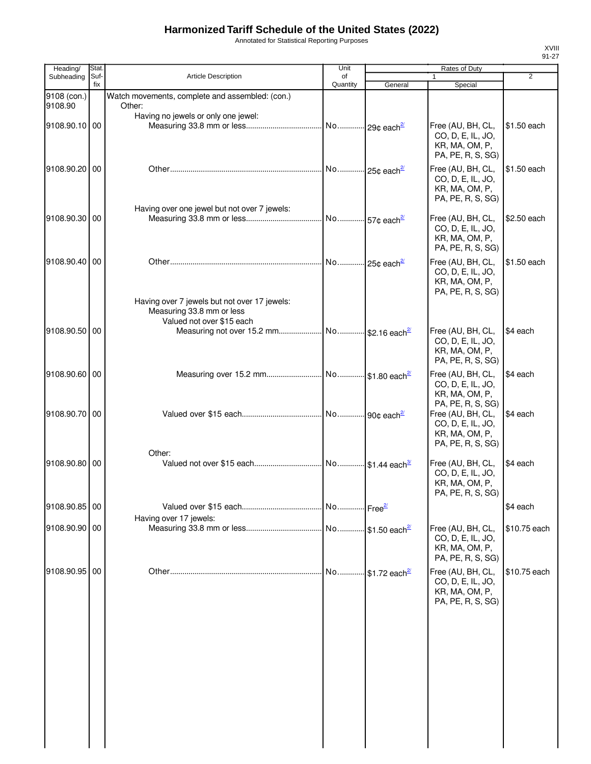Annotated for Statistical Reporting Purposes

| Heading/               | Stat.       |                                                                                                        | Unit           |                            | Rates of Duty                                                                                      |                |
|------------------------|-------------|--------------------------------------------------------------------------------------------------------|----------------|----------------------------|----------------------------------------------------------------------------------------------------|----------------|
| Subheading             | Suf-<br>fix | <b>Article Description</b>                                                                             | of<br>Quantity | General                    | $\mathbf{1}$<br>Special                                                                            | $\overline{2}$ |
| 9108 (con.)<br>9108.90 |             | Watch movements, complete and assembled: (con.)<br>Other:                                              |                |                            |                                                                                                    |                |
| 9108.90.10 00          |             | Having no jewels or only one jewel:                                                                    |                |                            | Free (AU, BH, CL,<br>CO, D, E, IL, JO,<br>KR, MA, OM, P,                                           | \$1.50 each    |
| 9108.90.20 00          |             |                                                                                                        |                |                            | PA, PE, R, S, SG)<br>Free (AU, BH, CL,<br>CO, D, E, IL, JO,<br>KR, MA, OM, P,<br>PA, PE, R, S, SG) | \$1.50 each    |
| 9108.90.30 00          |             | Having over one jewel but not over 7 jewels:                                                           |                |                            | Free (AU, BH, CL,<br>CO, D, E, IL, JO,<br>KR, MA, OM, P,<br>PA, PE, R, S, SG)                      | \$2.50 each    |
| 9108.90.40 00          |             |                                                                                                        |                |                            | Free (AU, BH, CL,<br>CO, D, E, IL, JO,<br>KR, MA, OM, P,<br>PA, PE, R, S, SG)                      | \$1.50 each    |
|                        |             | Having over 7 jewels but not over 17 jewels:<br>Measuring 33.8 mm or less<br>Valued not over \$15 each |                |                            |                                                                                                    |                |
| 9108.90.50 00          |             |                                                                                                        |                |                            | Free (AU, BH, CL,<br>CO, D, E, IL, JO,<br>KR, MA, OM, P,<br>PA, PE, R, S, SG)                      | \$4 each       |
| 9108.90.60 00          |             |                                                                                                        |                |                            | Free (AU, BH, CL,<br>CO, D, E, IL, JO,<br>KR, MA, OM, P,<br>PA, PE, R, S, SG)                      | \$4 each       |
| 9108.90.70 00          |             |                                                                                                        |                |                            | Free (AU, BH, CL,<br>CO, D, E, IL, JO,<br>KR, MA, OM, P,<br>PA, PE, R, S, SG)                      | \$4 each       |
| 9108.90.80 00          |             | Other:                                                                                                 |                |                            | Free (AU, BH, CL,<br>CO, D, E, IL, JO,<br>KR, MA, OM, P,<br>PA, PE, R, S, SG)                      | \$4 each       |
| 9108.90.85 00          |             |                                                                                                        |                |                            |                                                                                                    | \$4 each       |
| 9108.90.90 00          |             | Having over 17 jewels:                                                                                 |                |                            | Free (AU, BH, CL,<br>CO, D, E, IL, JO,<br>KR, MA, OM, P,<br>PA, PE, R, S, SG)                      | \$10.75 each   |
| 9108.90.95 00          |             |                                                                                                        | No             | $$1.72$ each <sup>2'</sup> | Free (AU, BH, CL,<br>CO, D, E, IL, JO,<br>KR, MA, OM, P,<br>PA, PE, R, S, SG)                      | \$10.75 each   |
|                        |             |                                                                                                        |                |                            |                                                                                                    |                |
|                        |             |                                                                                                        |                |                            |                                                                                                    |                |
|                        |             |                                                                                                        |                |                            |                                                                                                    |                |
|                        |             |                                                                                                        |                |                            |                                                                                                    |                |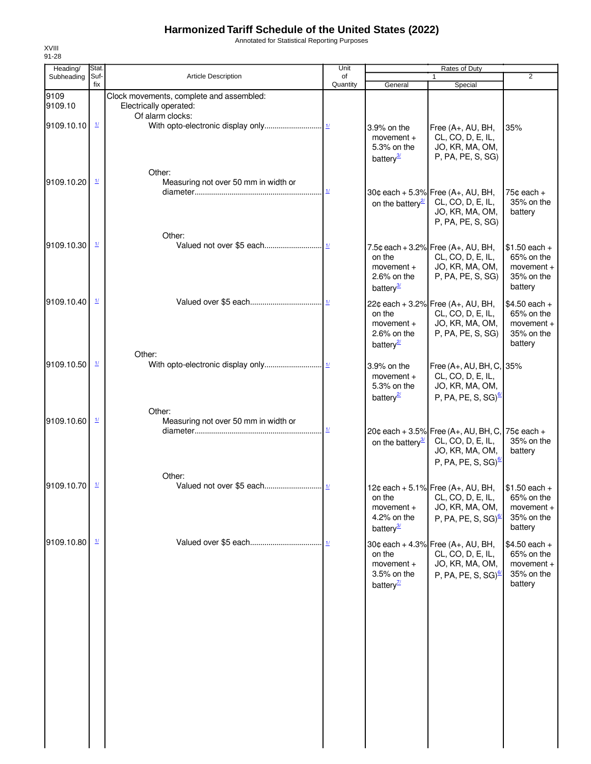Annotated for Statistical Reporting Purposes

| Heading/        | Stat.                    |                                                                                        | Unit                               | <b>Rates of Duty</b>                                                |                                                                                                                  |                                                                       |
|-----------------|--------------------------|----------------------------------------------------------------------------------------|------------------------------------|---------------------------------------------------------------------|------------------------------------------------------------------------------------------------------------------|-----------------------------------------------------------------------|
| Subheading      | Suf-<br>fix              | <b>Article Description</b>                                                             | of<br>Quantity                     | General                                                             | $\mathbf{1}$<br>Special                                                                                          | $\overline{2}$                                                        |
| 9109<br>9109.10 |                          | Clock movements, complete and assembled:<br>Electrically operated:<br>Of alarm clocks: |                                    |                                                                     |                                                                                                                  |                                                                       |
| 9109.10.10      | $\mathbf{\underline{1}}$ |                                                                                        |                                    | 3.9% on the<br>movement $+$<br>5.3% on the<br>battery <sup>3/</sup> | Free (A+, AU, BH,<br>CL, CO, D, E, IL,<br>JO, KR, MA, OM,<br>P, PA, PE, S, SG)                                   | 35%                                                                   |
| 9109.10.20      | $\frac{1}{2}$            | Other:<br>Measuring not over 50 mm in width or                                         | $\underline{\mathcal{H}}$          | on the battery $\frac{2}{2}$                                        | 30¢ each + 5.3% Free $(A+, AU, BH,$<br>CL, CO, D, E, IL,<br>JO, KR, MA, OM,<br>P, PA, PE, S, SG)                 | $75¢$ each +<br>35% on the<br>battery                                 |
| 9109.10.30      | $\frac{1}{2}$            | Other:                                                                                 |                                    | on the<br>$momentum +$<br>2.6% on the<br>battery <sup>3/</sup>      | 7.5¢ each + 3.2% Free $(A_{+}, AU, BH,$<br>CL, CO, D, E, IL,<br>JO, KR, MA, OM,<br>P, PA, PE, S, SG)             | $$1.50$ each +<br>65% on the<br>$momentum +$<br>35% on the<br>battery |
| 9109.10.40      | $\mathbf{\underline{1}}$ | Other:                                                                                 |                                    | on the<br>$momentum +$<br>$2.6\%$ on the<br>battery <sup>2</sup>    | 22¢ each + 3.2% Free (A+, AU, BH,<br>CL, CO, D, E, IL,<br>JO, KR, MA, OM,<br>P, PA, PE, S, SG)                   | $$4.50$ each +<br>65% on the<br>movement +<br>35% on the<br>battery   |
| 9109.10.50      | $\mathbf{\underline{1}}$ | Other:                                                                                 |                                    | 3.9% on the<br>movement $+$<br>5.3% on the<br>battery <sup>2</sup>  | Free (A+, AU, BH, C, 35%<br>CL, CO, D, E, IL,<br>JO, KR, MA, OM,<br>P, PA, PE, S, SG) <sup>6</sup>               |                                                                       |
| 9109.10.60      | $\mathbf{\underline{1}}$ | Measuring not over 50 mm in width or                                                   | $\underline{\mathbf{1}\mathbf{1}}$ | on the battery <sup>3/</sup>                                        | 20¢ each + 3.5% Free (A+, AU, BH, C,<br>CL, CO, D, E, IL,<br>JO, KR, MA, OM,<br>P, PA, PE, S, SG) $\frac{67}{2}$ | 75¢ each +<br>35% on the<br>battery                                   |
| 9109.10.70      | $\mathbf{\underline{1}}$ | Other:                                                                                 |                                    | on the<br>$momentum +$<br>4.2% on the<br>battery <sup>3</sup>       | 12¢ each + 5.1% Free (A+, AU, BH,<br>CL, CO, D, E, IL,<br>JO, KR, MA, OM,<br>P, PA, PE, S, SG) $\frac{67}{2}$    | $$1.50$ each +<br>65% on the<br>movement +<br>35% on the<br>battery   |
| 9109.10.80      | $\mathbf{\underline{1}}$ |                                                                                        |                                    | on the<br>$momentum +$<br>3.5% on the<br>battery $\frac{7}{2}$      | 30¢ each + 4.3% Free (A+, AU, BH,<br>CL, CO, D, E, IL,<br>JO, KR, MA, OM,<br>P, PA, PE, S, SG) <sup>6</sup>      | $$4.50$ each +<br>65% on the<br>movement +<br>35% on the<br>battery   |

XVIII 91-28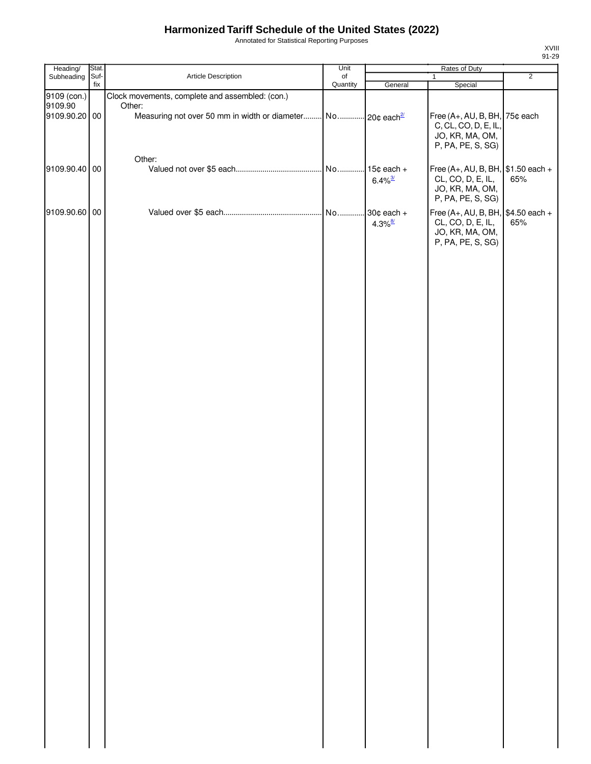Annotated for Statistical Reporting Purposes

| Heading/      | Stat.       |                                                                         | Unit           | Rates of Duty                         |                                                                                                  |                |
|---------------|-------------|-------------------------------------------------------------------------|----------------|---------------------------------------|--------------------------------------------------------------------------------------------------|----------------|
| Subheading    | Suf-<br>fix | Article Description                                                     | of<br>Quantity | General                               | $\mathbf{1}$<br>Special                                                                          | $\overline{2}$ |
| 9109 (con.)   |             | Clock movements, complete and assembled: (con.)                         |                |                                       |                                                                                                  |                |
| 9109.90       |             | Other:                                                                  |                |                                       |                                                                                                  |                |
| 9109.90.20 00 |             | Measuring not over 50 mm in width or diameter No 20¢ each <sup>2/</sup> |                |                                       | Free (A+, AU, B, BH,<br>C, CL, CO, D, E, IL,<br>JO, KR, MA, OM,<br>P, PA, PE, S, SG)             | 75¢ each       |
|               |             | Other:                                                                  |                |                                       |                                                                                                  |                |
| 9109.90.40 00 |             |                                                                         |                | $15¢$ each +<br>$6.4\%$ <sup>3/</sup> | Free (A+, AU, B, BH, $$1.50$ each +<br>CL, CO, D, E, IL,<br>JO, KR, MA, OM,<br>P, PA, PE, S, SG) | 65%            |
| 9109.90.60 00 |             |                                                                         |                | 30¢ each +<br>$4.3\%$ <sup>8/</sup>   | Free (A+, AU, B, BH, $$4.50$ each +<br>CL, CO, D, E, IL,<br>JO, KR, MA, OM,<br>P, PA, PE, S, SG) | 65%            |
|               |             |                                                                         |                |                                       |                                                                                                  |                |
|               |             |                                                                         |                |                                       |                                                                                                  |                |
|               |             |                                                                         |                |                                       |                                                                                                  |                |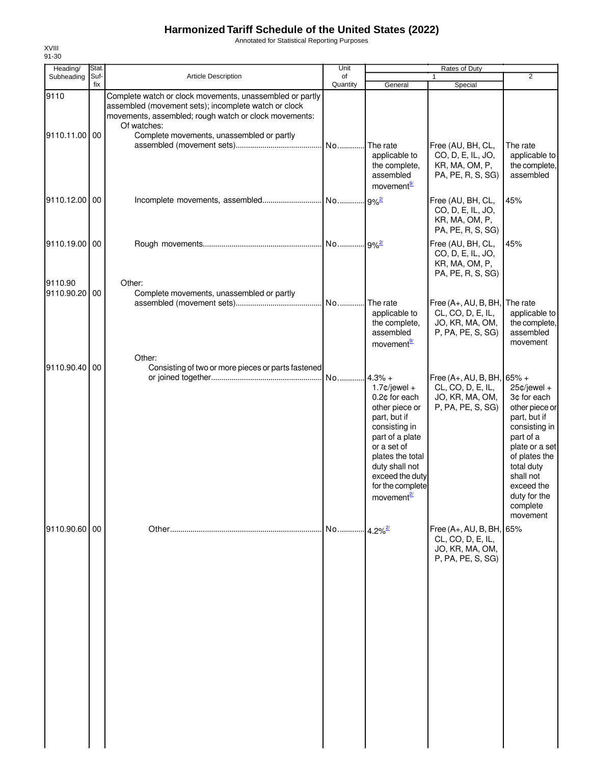Annotated for Statistical Reporting Purposes

| Heading/                 | Stat.       |                                                                                                                                                                                                                                       | Unit           | <b>Rates of Duty</b>                                                                                                                                                                                                       |                                                                                         |                                                                                                                                                                                                                   |
|--------------------------|-------------|---------------------------------------------------------------------------------------------------------------------------------------------------------------------------------------------------------------------------------------|----------------|----------------------------------------------------------------------------------------------------------------------------------------------------------------------------------------------------------------------------|-----------------------------------------------------------------------------------------|-------------------------------------------------------------------------------------------------------------------------------------------------------------------------------------------------------------------|
| Subheading               | Suf-<br>fix | <b>Article Description</b>                                                                                                                                                                                                            | of<br>Quantity | General                                                                                                                                                                                                                    | $\mathbf{1}$<br>Special                                                                 | $\overline{2}$                                                                                                                                                                                                    |
| 9110<br>9110.11.00       | 00          | Complete watch or clock movements, unassembled or partly<br>assembled (movement sets); incomplete watch or clock<br>movements, assembled; rough watch or clock movements:<br>Of watches:<br>Complete movements, unassembled or partly |                | The rate<br>applicable to<br>the complete,<br>assembled<br>movement <sup>9/</sup>                                                                                                                                          | Free (AU, BH, CL,<br>CO, D, E, IL, JO,<br>KR, MA, OM, P,<br>PA, PE, R, S, SG)           | The rate<br>applicable to<br>the complete,<br>assembled                                                                                                                                                           |
| 9110.12.00               | 00          |                                                                                                                                                                                                                                       |                | $9%^{2/2}$                                                                                                                                                                                                                 | Free (AU, BH, CL,<br>CO, D, E, IL, JO,<br>KR, MA, OM, P,<br>PA, PE, R, S, SG)           | 45%                                                                                                                                                                                                               |
| 9110.19.00 00            |             |                                                                                                                                                                                                                                       |                | $.9%^{27}$                                                                                                                                                                                                                 | Free (AU, BH, CL,<br>CO, D, E, IL, JO,<br>KR, MA, OM, P,<br>PA, PE, R, S, SG)           | 45%                                                                                                                                                                                                               |
| 9110.90<br>9110.90.20 00 |             | Other:<br>Complete movements, unassembled or partly                                                                                                                                                                                   | . No.          | The rate<br>applicable to<br>the complete,<br>assembled<br>movement <sup>9</sup>                                                                                                                                           | Free (A+, AU, B, BH,<br>CL, CO, D, E, IL,<br>JO, KR, MA, OM,<br>P, PA, PE, S, SG)       | The rate<br>applicable to<br>the complete,<br>assembled<br>movement                                                                                                                                               |
| 9110.90.40               | 00          | Other:<br>Consisting of two or more pieces or parts fastened                                                                                                                                                                          | No             | $4.3% +$<br>$1.7$ ¢/jewel +<br>0.2¢ for each<br>other piece or<br>part, but if<br>consisting in<br>part of a plate<br>or a set of<br>plates the total<br>duty shall not<br>exceed the duty<br>for the complete<br>movement | Free (A+, AU, B, BH, 65% +<br>CL, CO, D, E, IL,<br>JO, KR, MA, OM,<br>P, PA, PE, S, SG) | $25¢$ /jewel +<br>3¢ for each<br>other piece or<br>part, but if<br>consisting in<br>part of a<br>plate or a set<br>of plates the<br>total duty<br>shall not<br>exceed the<br>duty for the<br>complete<br>movement |
| 9110.90.60 00            |             |                                                                                                                                                                                                                                       | No             | $4.2\%$ <sup>2/</sup>                                                                                                                                                                                                      | Free (A+, AU, B, BH, 65%<br>CL, CO, D, E, IL,<br>JO, KR, MA, OM,<br>P, PA, PE, S, SG)   |                                                                                                                                                                                                                   |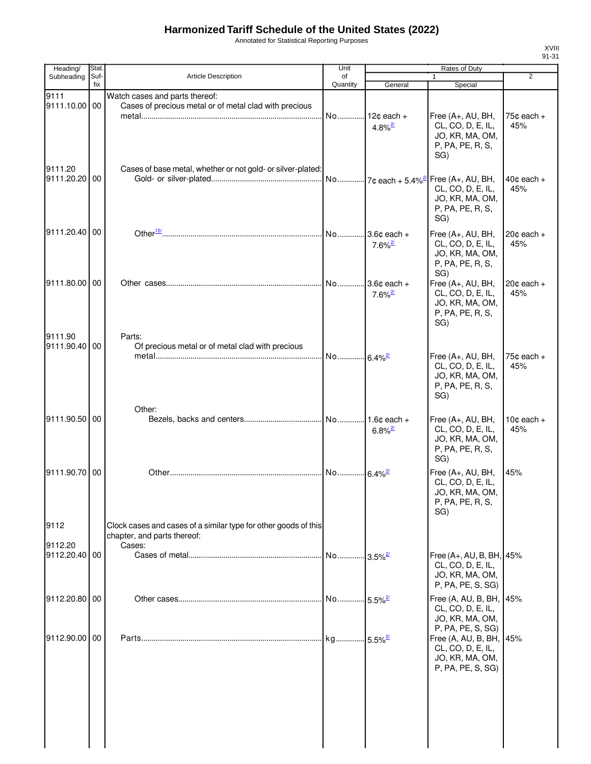Annotated for Statistical Reporting Purposes

| Heading/                 | Stat.       |                                                                                                | Unit                    |                                          | Rates of Duty                                                                                                       |                               |
|--------------------------|-------------|------------------------------------------------------------------------------------------------|-------------------------|------------------------------------------|---------------------------------------------------------------------------------------------------------------------|-------------------------------|
| Subheading               | Suf-<br>fix | <b>Article Description</b>                                                                     | of<br>Quantity          | General                                  | $\mathbf{1}$<br>Special                                                                                             | $\overline{2}$                |
| 9111<br>9111.10.00 00    |             | Watch cases and parts thereof:<br>Cases of precious metal or of metal clad with precious       | No                      | $12¢$ each +<br>$4.8\%$ <sup>2/</sup>    | Free (A+, AU, BH,<br>CL, CO, D, E, IL,<br>JO, KR, MA, OM,<br>P, PA, PE, R, S,<br>SG)                                | $75¢$ each $+$<br>45%         |
| 9111.20<br>9111.20.20    | 00          | Cases of base metal, whether or not gold- or silver-plated:                                    |                         |                                          | No 7¢ each + 5.4% <sup>2</sup> Free (A+, AU, BH,<br>CL, CO, D, E, IL,<br>JO, KR, MA, OM,<br>P, PA, PE, R, S,<br>SG) | $40¢$ each $+$<br>45%         |
| 9111.20.40 00            |             |                                                                                                | No                      | $3.6¢$ each +<br>$7.6\%$ <sup>2/</sup>   | Free (A+, AU, BH,<br>CL, CO, D, E, IL,<br>JO, KR, MA, OM,<br>P, PA, PE, R, S,<br>SG)                                | $20¢$ each $+$<br>45%         |
| 9111.80.00 00<br>9111.90 |             | Parts:                                                                                         | No                      | $3.6c$ each $+$<br>$7.6\%$ <sup>2/</sup> | Free (A+, AU, BH,<br>CL, CO, D, E, IL,<br>JO, KR, MA, OM,<br>P, PA, PE, R, S,<br>SG)                                | $20¢$ each $+$<br>45%         |
| 9111.90.40 00            |             | Of precious metal or of metal clad with precious                                               | No 6.4% <sup>2/27</sup> |                                          | Free (A+, AU, BH,<br>CL, CO, D, E, IL,<br>JO, KR, MA, OM,<br>P, PA, PE, R, S,<br>SG)                                | 75¢ each +<br>45%             |
| 9111.90.50 00            |             | Other:                                                                                         |                         | 1.6 $¢$ each +<br>$6.8\%$ <sup>2/</sup>  | Free (A+, AU, BH,<br>CL, CO, D, E, IL,<br>JO, KR, MA, OM,<br>P, PA, PE, R, S,<br>SG)                                | 10 $\texttt{c}$ each +<br>45% |
| 9111.90.70 00            |             |                                                                                                | No                      | $\cdot$ 6.4% $\frac{2}{3}$               | Free (A+, AU, BH,<br>CL, CO, D, E, IL,<br>JO, KR, MA, OM,<br>P, PA, PE, R, S,<br>SG)                                | 45%                           |
| 9112                     |             | Clock cases and cases of a similar type for other goods of this<br>chapter, and parts thereof: |                         |                                          |                                                                                                                     |                               |
| 9112.20<br>9112.20.40 00 |             | Cases:                                                                                         | No                      | $3.5\%$ <sup>2/</sup>                    | Free (A+, AU, B, BH, 45%<br>CL, CO, D, E, IL,<br>JO, KR, MA, OM,<br>P, PA, PE, S, SG)                               |                               |
| 9112.20.80 00            |             |                                                                                                | No                      | $-5.5\%$ <sup>2/</sup>                   | Free (A, AU, B, BH, 45%<br>CL, CO, D, E, IL,<br>JO, KR, MA, OM,<br>P, PA, PE, S, SG)                                |                               |
| 9112.90.00 00            |             |                                                                                                |                         |                                          | Free (A, AU, B, BH, 45%<br>CL, CO, D, E, IL,<br>JO, KR, MA, OM,<br>P, PA, PE, S, SG)                                |                               |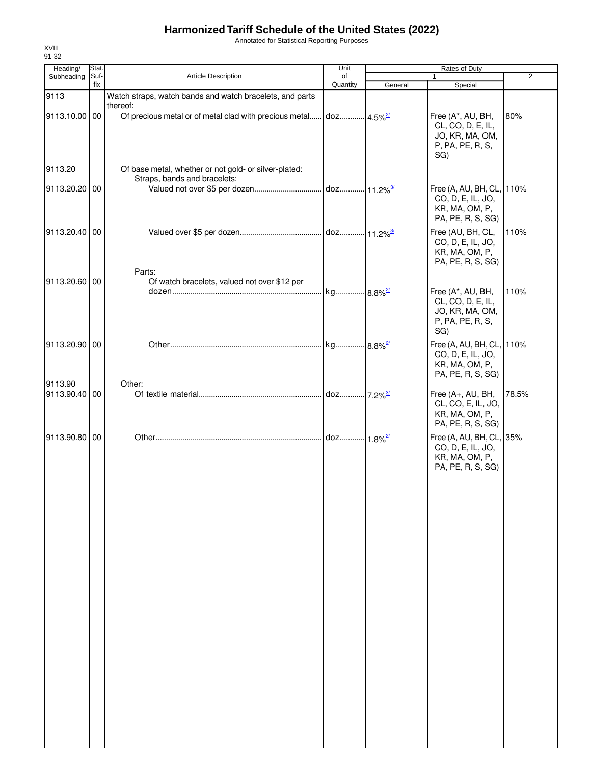Annotated for Statistical Reporting Purposes

| Heading/                 | Stat.       |                                                                              | Unit           | Rates of Duty |                                                |                |
|--------------------------|-------------|------------------------------------------------------------------------------|----------------|---------------|------------------------------------------------|----------------|
| Subheading               | Suf-<br>fix | Article Description                                                          | of<br>Quantity |               | $\mathbf{1}$                                   | $\overline{2}$ |
| 9113                     |             | Watch straps, watch bands and watch bracelets, and parts                     |                | General       | Special                                        |                |
|                          |             | thereof:                                                                     |                |               |                                                |                |
| 9113.10.00 00            |             | Of precious metal or of metal clad with precious metal doz 4.5% <sup>2</sup> |                |               | Free (A*, AU, BH,                              | 80%            |
|                          |             |                                                                              |                |               | CL, CO, D, E, IL,                              |                |
|                          |             |                                                                              |                |               | JO, KR, MA, OM,                                |                |
|                          |             |                                                                              |                |               | P, PA, PE, R, S,                               |                |
|                          |             |                                                                              |                |               | SG)                                            |                |
| 9113.20                  |             | Of base metal, whether or not gold- or silver-plated:                        |                |               |                                                |                |
|                          |             | Straps, bands and bracelets:                                                 |                |               |                                                |                |
| 9113.20.20 00            |             |                                                                              |                |               | Free (A, AU, BH, CL, 110%<br>CO, D, E, IL, JO, |                |
|                          |             |                                                                              |                |               | KR, MA, OM, P,                                 |                |
|                          |             |                                                                              |                |               | PA, PE, R, S, SG)                              |                |
| 9113.20.40 00            |             |                                                                              |                |               | Free (AU, BH, CL,                              | 110%           |
|                          |             |                                                                              |                |               | CO, D, E, IL, JO,                              |                |
|                          |             |                                                                              |                |               | KR, MA, OM, P,                                 |                |
|                          |             |                                                                              |                |               | PA, PE, R, S, SG)                              |                |
|                          |             | Parts:                                                                       |                |               |                                                |                |
| 9113.20.60 00            |             | Of watch bracelets, valued not over \$12 per                                 |                |               |                                                |                |
|                          |             |                                                                              |                |               | Free (A*, AU, BH,<br>CL, CO, D, E, IL,         | 110%           |
|                          |             |                                                                              |                |               | JO, KR, MA, OM,                                |                |
|                          |             |                                                                              |                |               | P, PA, PE, R, S,                               |                |
|                          |             |                                                                              |                |               | SG)                                            |                |
| 9113.20.90 00            |             |                                                                              |                |               | Free (A, AU, BH, CL, 110%                      |                |
|                          |             |                                                                              |                |               | CO, D, E, IL, JO,                              |                |
|                          |             |                                                                              |                |               | KR, MA, OM, P,                                 |                |
|                          |             |                                                                              |                |               | PA, PE, R, S, SG)                              |                |
| 9113.90<br>9113.90.40 00 |             | Other:                                                                       |                |               | Free (A+, AU, BH,                              | 78.5%          |
|                          |             |                                                                              |                |               | CL, CO, E, IL, JO,                             |                |
|                          |             |                                                                              |                |               | KR, MA, OM, P,                                 |                |
|                          |             |                                                                              |                |               | PA, PE, R, S, SG)                              |                |
| 9113.90.80 00            |             |                                                                              |                |               | Free (A, AU, BH, CL, 35%                       |                |
|                          |             |                                                                              |                |               | CO, D, E, IL, JO,                              |                |
|                          |             |                                                                              |                |               | KR, MA, OM, P,                                 |                |
|                          |             |                                                                              |                |               | PA, PE, R, S, SG)                              |                |
|                          |             |                                                                              |                |               |                                                |                |
|                          |             |                                                                              |                |               |                                                |                |
|                          |             |                                                                              |                |               |                                                |                |
|                          |             |                                                                              |                |               |                                                |                |
|                          |             |                                                                              |                |               |                                                |                |
|                          |             |                                                                              |                |               |                                                |                |
|                          |             |                                                                              |                |               |                                                |                |
|                          |             |                                                                              |                |               |                                                |                |
|                          |             |                                                                              |                |               |                                                |                |
|                          |             |                                                                              |                |               |                                                |                |
|                          |             |                                                                              |                |               |                                                |                |
|                          |             |                                                                              |                |               |                                                |                |
|                          |             |                                                                              |                |               |                                                |                |
|                          |             |                                                                              |                |               |                                                |                |
|                          |             |                                                                              |                |               |                                                |                |
|                          |             |                                                                              |                |               |                                                |                |
|                          |             |                                                                              |                |               |                                                |                |
|                          |             |                                                                              |                |               |                                                |                |
|                          |             |                                                                              |                |               |                                                |                |
|                          |             |                                                                              |                |               |                                                |                |
|                          |             |                                                                              |                |               |                                                |                |
|                          |             |                                                                              |                |               |                                                |                |
|                          |             |                                                                              |                |               |                                                |                |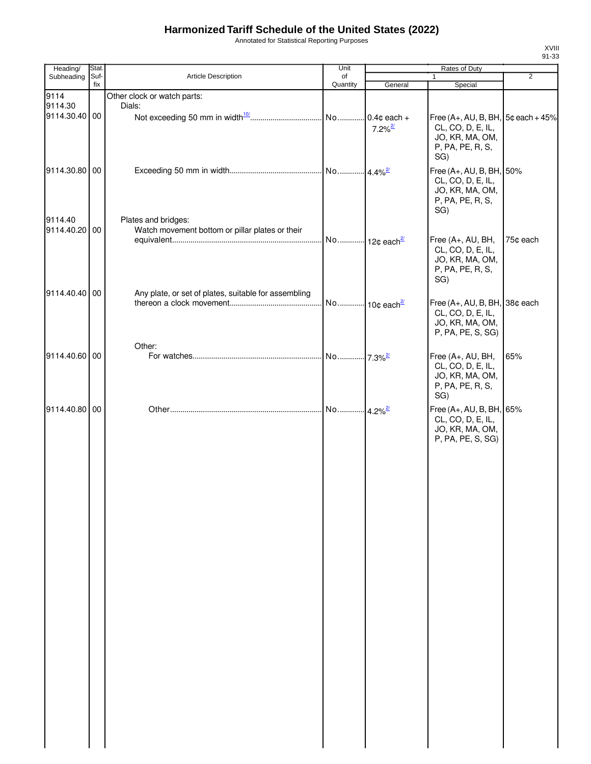Annotated for Statistical Reporting Purposes

| Heading/                 | Stat.       |                                                                        | Unit                  |                       | Rates of Duty                                                                                            |                |
|--------------------------|-------------|------------------------------------------------------------------------|-----------------------|-----------------------|----------------------------------------------------------------------------------------------------------|----------------|
| Subheading               | Suf-<br>fix | Article Description                                                    | of<br>Quantity        | General               | $\mathbf{1}$                                                                                             | $\overline{2}$ |
| 9114<br>9114.30          |             | Other clock or watch parts:<br>Dials:                                  |                       |                       | Special                                                                                                  |                |
| 9114.30.40 00            |             |                                                                        |                       | $7.2\%$ <sup>2/</sup> | Free $(A+, AU, B, BH, 5¢$ each $+45%$<br>CL, CO, D, E, IL,<br>JO, KR, MA, OM,<br>P, PA, PE, R, S,<br>SG) |                |
| 9114.30.80 00            |             |                                                                        |                       |                       | Free (A+, AU, B, BH, 50%<br>CL, CO, D, E, IL,<br>JO, KR, MA, OM,<br>P, PA, PE, R, S,<br>SG)              |                |
| 9114.40<br>9114.40.20 00 |             | Plates and bridges:<br>Watch movement bottom or pillar plates or their |                       |                       | Free (A+, AU, BH,<br>CL, CO, D, E, IL,<br>JO, KR, MA, OM,<br>P, PA, PE, R, S,<br>SG)                     | 75¢ each       |
| 9114.40.40 00            |             | Any plate, or set of plates, suitable for assembling                   |                       |                       | Free (A+, AU, B, BH, 38¢ each<br>CL, CO, D, E, IL,<br>JO, KR, MA, OM,<br>P, PA, PE, S, SG)               |                |
| 9114.40.60 00            |             | Other:                                                                 |                       |                       | Free (A+, AU, BH,<br>CL, CO, D, E, IL,<br>JO, KR, MA, OM,<br>P, PA, PE, R, S,<br>SG)                     | 65%            |
| 9114.40.80 00            |             |                                                                        | No 4.2% <sup>2/</sup> |                       | Free (A+, AU, B, BH, 65%<br>CL, CO, D, E, IL,<br>JO, KR, MA, OM,<br>P, PA, PE, S, SG)                    |                |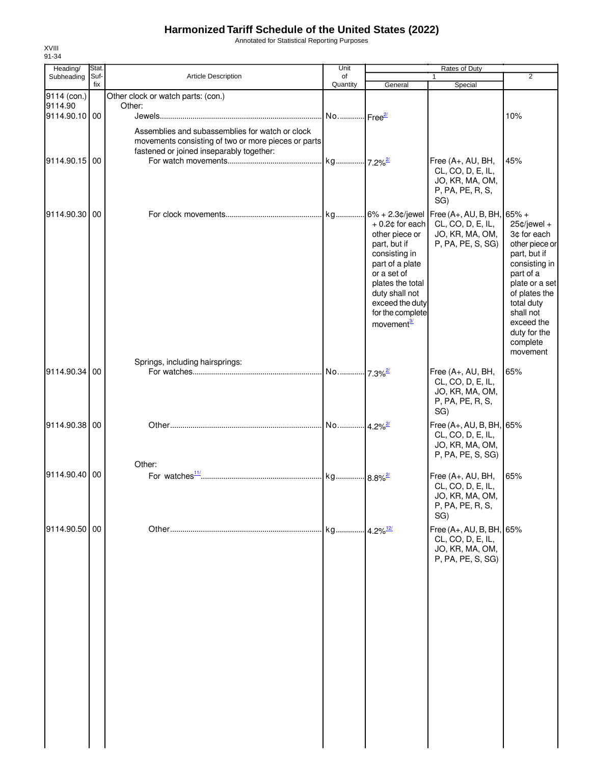Annotated for Statistical Reporting Purposes

| Heading/                 | Stat.       |                                                                                                                                                    | Unit                  |                                                                                                                                                                                          | Rates of Duty                                                                         |                                                                                                                                                                                                                   |
|--------------------------|-------------|----------------------------------------------------------------------------------------------------------------------------------------------------|-----------------------|------------------------------------------------------------------------------------------------------------------------------------------------------------------------------------------|---------------------------------------------------------------------------------------|-------------------------------------------------------------------------------------------------------------------------------------------------------------------------------------------------------------------|
| Subheading               | Suf-<br>fix | <b>Article Description</b>                                                                                                                         | of<br>Quantity        | General                                                                                                                                                                                  | $\mathbf{1}$<br>Special                                                               | 2                                                                                                                                                                                                                 |
| 9114 (con.)              |             | Other clock or watch parts: (con.)                                                                                                                 |                       |                                                                                                                                                                                          |                                                                                       |                                                                                                                                                                                                                   |
| 9114.90<br>9114.90.10 00 |             | Other:                                                                                                                                             |                       |                                                                                                                                                                                          |                                                                                       |                                                                                                                                                                                                                   |
|                          |             | Assemblies and subassemblies for watch or clock<br>movements consisting of two or more pieces or parts<br>fastened or joined inseparably together: |                       |                                                                                                                                                                                          |                                                                                       | 10%                                                                                                                                                                                                               |
| 9114.90.15 00            |             |                                                                                                                                                    |                       |                                                                                                                                                                                          | Free (A+, AU, BH,<br>CL, CO, D, E, IL,<br>JO, KR, MA, OM,<br>P, PA, PE, R, S,<br>SG)  | 45%                                                                                                                                                                                                               |
| 9114.90.30 00            |             |                                                                                                                                                    |                       | other piece or<br>part, but if<br>consisting in<br>part of a plate<br>or a set of<br>plates the total<br>duty shall not<br>exceed the duty<br>for the complete<br>movement <sup>3/</sup> | $+0.2$ ¢ for each CL, CO, D, E, IL,<br>JO, KR, MA, OM,<br>P, PA, PE, S, SG)           | $25¢$ /jewel +<br>3¢ for each<br>other piece or<br>part, but if<br>consisting in<br>part of a<br>plate or a set<br>of plates the<br>total duty<br>shall not<br>exceed the<br>duty for the<br>complete<br>movement |
| 9114.90.34 00            |             | Springs, including hairsprings:                                                                                                                    |                       |                                                                                                                                                                                          | Free (A+, AU, BH,<br>CL, CO, D, E, IL,<br>JO, KR, MA, OM,<br>P, PA, PE, R, S,<br>SG)  | 65%                                                                                                                                                                                                               |
| 9114.90.38 00            |             |                                                                                                                                                    |                       |                                                                                                                                                                                          | Free (A+, AU, B, BH, 65%<br>CL, CO, D, E, IL,<br>JO, KR, MA, OM,<br>P, PA, PE, S, SG) |                                                                                                                                                                                                                   |
| 9114.90.40 00            |             | Other:                                                                                                                                             | kg 8.8% <sup>2/</sup> |                                                                                                                                                                                          | Free (A+, AU, BH,<br>CL, CO, D, E, IL,<br>JO, KR, MA, OM,<br>P, PA, PE, R, S,<br>SG)  | 65%                                                                                                                                                                                                               |
| 9114.90.50 00            |             |                                                                                                                                                    | . kg                  | $4.2\%$ <sup>12/</sup>                                                                                                                                                                   | Free (A+, AU, B, BH, 65%<br>CL, CO, D, E, IL,<br>JO, KR, MA, OM,<br>P, PA, PE, S, SG) |                                                                                                                                                                                                                   |